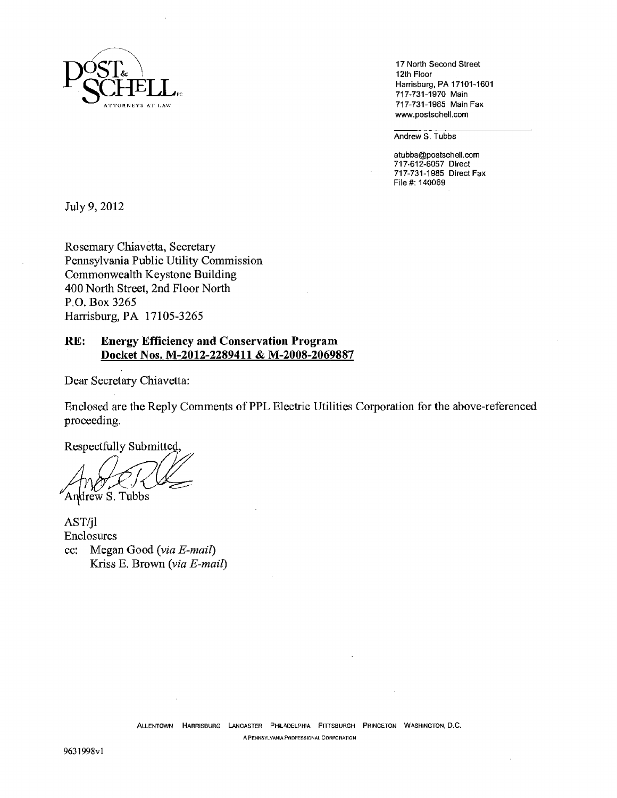

12th Floor<br>Harrisburg, PA 17101-1601 717-731-1985 Main Fax www.postschell.com

Andrew S. Tubbs

atubbs@postschell.com 717-612-6057 Direct 717-731-1985 Direct Fax File#: 140069

July 9, 2012

Rosemary Chiavêtta, Secretary Pennsylvania Public Utility Commission Commonwealth Keystone Building 400 North Street, 2nd Floor North P.O. Box *3265*  Harrisburg, PA 17 *105-3265* 

### **RE: Energy Efficiency and Conservation Program Docket Nos. M-2012-2289411** & **M-2008-2069887**

Dear Secretary Chiavetta:

Enclosed are the Reply Comments of PPL Electric Utilities Corporation for the above-referenced proceeding.

Respectfully Submitted,

Andrew S. Tubbs

AST/jl Enclosures cc: Megan Good *(via E-mail)*  Kriss E. Brown *(via E-mail)*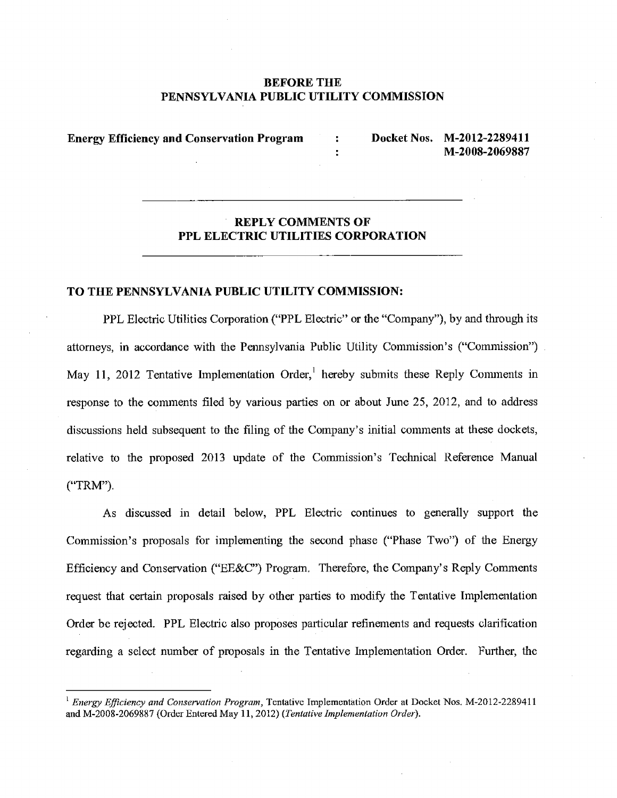### **BEFORE TIlE PENNSYLVANIA PUBLIC UTILITY COMMISSION**

÷

**Energy Efficiency and Conservation Program** : **Docket Nos. M-2012-228941 I** 

**M-2008-2069887** 

# **REPLY COMMENTS OF PPL ELECTRIC UTILITIES CORPORATION**

#### **TO THE PENNSYLVANIA PUBLIC UTILITY COMMISSION:**

PPL Electric Utilities Corporation ("PPL Electric" or the "Company"), by and through its attorneys, in accordance with the Pennsylvania Public Utility Commission's ("Commission") May 11, 2012 Tentative Implementation Order,<sup>1</sup> hereby submits these Reply Comments in response to the comments filed by various parties on or about June 25, 2012, and to address discussions held subsequent to the filing of the Company's initial comments at these dockets, relative to the proposed 2013 update of the Commission's Technical Reference Manual ("TRM")

As discussed in detail below, PPL Electric continues to generally support the Commission's proposals for implementing the second phase ("Phase Two") of the Energy Efficiency and Conservation ("EE&C") Program. Therefore, the Company's Reply Comments request that certain proposals raised by other parties to modify the Tentative Implementation Order be rejected. PPL Electric also proposes particular refinements and requests clarification regarding a select number of proposals in the Tentative Implementation Order. Further, the

<sup>&</sup>lt;sup>1</sup> *Energy Efficiency and Conservation Program*, Tentative Implementation Order at Docket Nos. M-2012-2289411 and M-2008-2069887 (Order Entered May 11, 2012) (Tentative Implementation Order).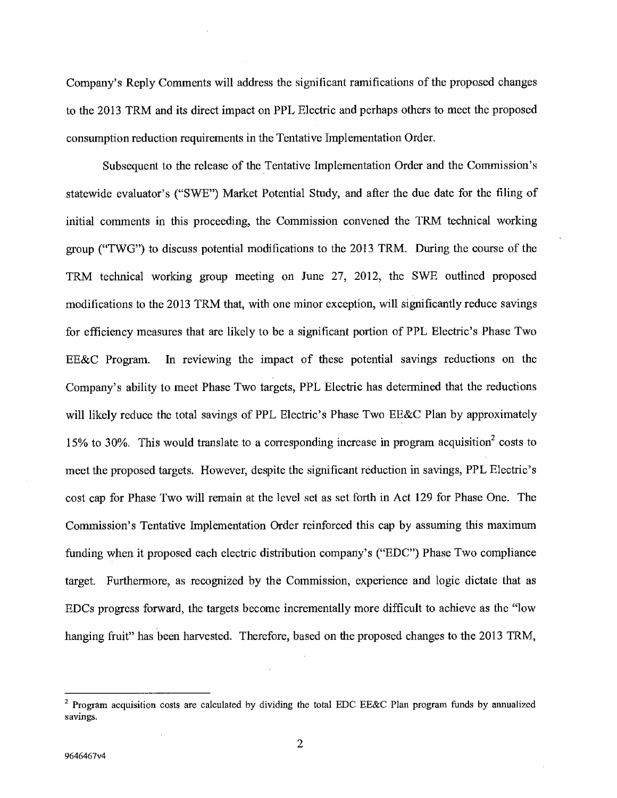Company's Reply Comments will address the significant ramifications of the proposed changes to the 2013 TRM and its direct impact on PPL Electric and perhaps others to meet the proposed consumption reduction requirements in the Tentative Implementation Order.

Subsequent to the release of the Tentative Implementation Order and the Commission's statewide evaluator's ("SWE") Market Potential Study, and after the due date for the filing of initial comments in this proceeding, the Commission convened the TRM technical working group ("TWG") to discuss potential modifications to the 2013 TRM. During the course of the TRM technical working group meeting on June 27, 2012, the SWE outlined proposed modifications to the 2013 TRM that, with one minor exception, will significantly reduce savings for efficiency measures that are likely to be a significant portion of PPL Electric's Phase Two EE&C Program. In reviewing the impact of these potential savings reductions on the Company's ability to meet Phase Two targets, PPL Electric has determined that the reductions will likely reduce the total savings of PPL Electric's Phase Two EE&C Plan by approximately 15% to 30%. This would translate to a corresponding increase in program acquisition<sup>2</sup> costs to meet the proposed targets. However, despite the significant reduction in savings, PPL Electric's cost cap for Phase Two will remain at the level set as set forth in Act 129 for Phase One. The Commission's Tentative Implementation Order reinforced this cap by assuming this maximum funding when it proposed each electric distribution company's ("EDC") Phase Two compliance target. Furthermore, as recognized by the Commission, experience and logic dictate that as EDCs progress forward, the targets become incrementally more difficult to achieve as the "low hanging fruit" has been harvested. Therefore, based on the proposed changes to the 2013 TRM,

**<sup>2</sup>Program acquisition costs are calculated** by dividing the total EDC EE&C Plan program funds by annualized savings.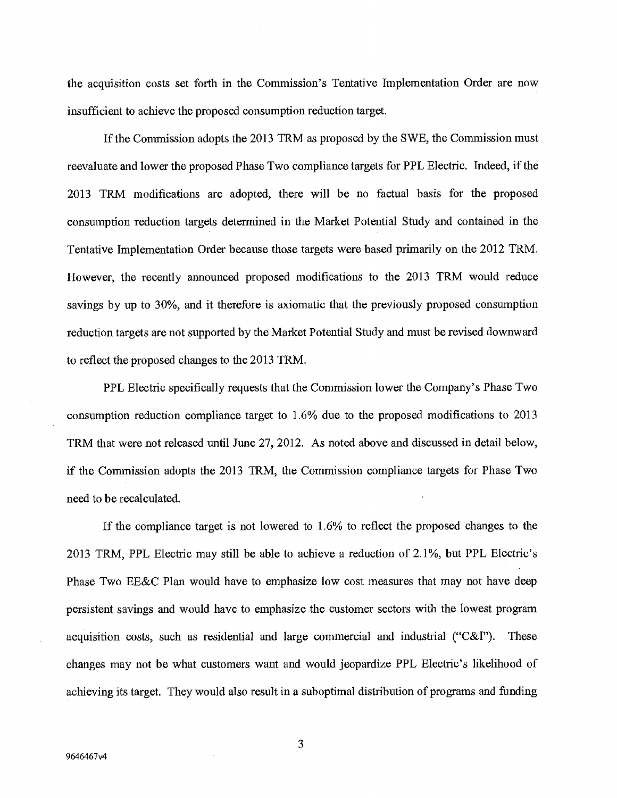the acquisition costs set forth in the Commission's Tentative Implementation Order are now insufficient to achieve the proposed consumption reduction target.

If the Commission adopts the 2013 TRM as proposed by the SWE, the Commission must reevaluate and lower the proposed Phase Two compliance targets for PPL Electric. Indeed, if the 2013 TRM modifications are adopted, there will be no factual basis for the proposed consumption reduction targets determined in the Market Potential Study and contained in the Tentative Implementation Order because those targets were based primarily on the 2012 TRM. However, the recently announced proposed modifications to the 2013 TRM would reduce savings by up to 30%, and it therefore is axiomatic that the previously proposed consumption reduction targets are not supported by the Market Potential Study and must be revised downward to reflect the proposed changes to the 2013 TRM.

PPL Electric specifically requests that the Commission lower the Company's Phase Two consumption reduction compliance target to 1.6% due to the proposed modifications to 2013 TRM that were not released until June 27, 2012. As noted above and discussed in detail below, if the Commission adopts the 2013 TRM, the Commission compliance targets for Phase Two need to be recalculated.

If the compliance target is not lowered to 1.6% to reflect the proposed changes to the 2013 TRM, PPL Electric may still be able to achieve a reduction of 2.1%, but PPL Electric's Phase Two EE&C Plan would have to emphasize low cost measures that may not have deep persistent savings and would have to emphasize the customer sectors with the lowest program acquisition costs, such as residential and large commercial and industrial ("C&I"). These changes may not be what customers want and would jeopardize PPL Electric's likelihood of achieving its target. They would also result in a suboptimal distribution of programs and funding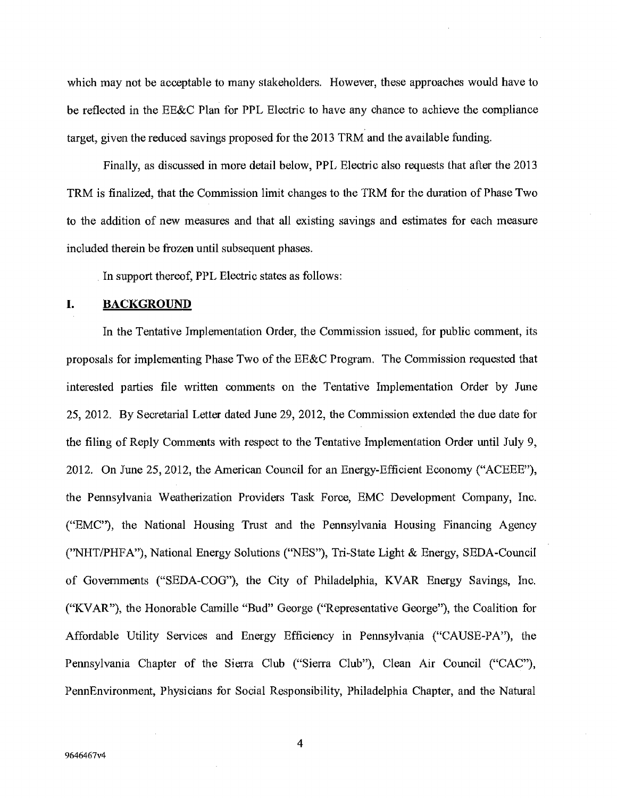which may not be acceptable to many stakeholders. However, these approaches would have to be reflected in the EE&C Plan for PPL Electric to have any chance to achieve the compliance target, given the reduced savings proposed for the 2013 TRM and the available funding.

Finally, as discussed in more detail below, PPL Electric also requests that after the 2013 TRM is finalized, that the Commission limit changes to the TRM for the duration of Phase Two to the addition of new measures and that all existing savings and estimates for each measure included therein be frozen until subsequent phases.

In support thereof, PPL Electric states as follows:

#### **I. BACKGROUND**

In the Tentative Implementation Order, the Commission issued, for public comment, its proposals for implementing Phase Two of the EE&C Program. The Commission requested that interested parties file written comments on the Tentative Implementation Order by June *25,* 2012. By Secretarial Letter dated June 29, 2012, the Commission extended the due date for the filing of Reply Comments with respect to the Tentative Implementation Order until July 9, 2012. On June *25,* 2012, the American Council for an Energy-Efficient Economy ("ACEEE"), the Pennsylvania Weatherization Providers Task Force, EMC Development Company, Inc. ("EMC"), the National Housing Trust and the Pennsylvania Housing Financing Agency ("NHT/PHFA"), National Energy Solutions ("NES"), Tn-State Light & Energy, SEDA-Council of Governments ("SEDA-COG"), the City of Philadelphia, KVAR Energy Savings, Inc. ("KVAR"), the Honorable Camille "Bud" George ("Representative George"), the Coalition for Affordable Utility Services and Energy Efficiency in Pennsylvania ("CAUSE-PA"), the Pennsylvania Chapter of the Sierra Club ("Sierra Club"), Clean Air Council ("CAC"), PennEnvironment, Physicians for Social Responsibility, Philadelphia Chapter, and the Natural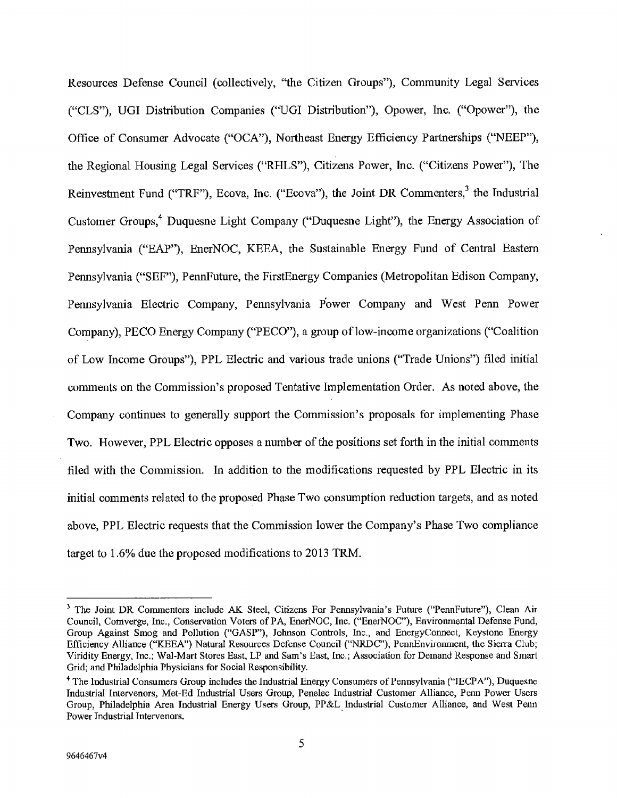Resources Defense Council (collectively, "the Citizen Groups"), Community Legal Services ("CLS"), UGI Distribution Companies ("UGI Distribution"), Opower, Inc. ("Opower"), the Office of Consumer Advocate ("OCA"), Northeast Energy Efficiency Partnerships ("NEEP"), the Regional Housing Legal Services ("RHLS"), Citizens Power, Inc. ("Citizens Power"), The Reinvestment Fund ("TRF"), Ecova, Inc. ("Ecova"), the Joint DR Commenters,<sup>3</sup> the Industrial Customer Groups,<sup>4</sup> Duquesne Light Company ("Duquesne Light"), the Energy Association of Pennsylvania ("EAP"), EnerNOC, KEEA, the Sustainable Energy Fund of Central Eastern Pennsylvania ("SEF"), PennFuture, the FirstEnergy Companies (Metropolitan Edison Company, Pennsylvania Electric Company, Pennsylvania Power Company and West Penn Power Company), PECO Energy Company ("PECO"), a group of low-income organizations ("Coalition of Low Income Groups"), PPL Electric and various trade unions ("Trade Unions") filed initial comments on the Commission's proposed Tentative Implementation Order. As noted above, the Company continues to generally support the Commission's proposals for implementing Phase Two. However, PPL Electric opposes a number of the positions set forth in the initial comments filed with the Commission. In addition to the modifications requested by PPL Electric in its initial comments related to the proposed Phase Two consumption reduction targets, and as noted above, PPL Electric requests that the Commission lower the Company's Phase Two compliance target to 1.6% due the proposed modifications to 2013 TRM.

<sup>&</sup>lt;sup>3</sup> The Joint DR Commenters include AK Steel, Citizens For Pennsylvania's Future ("PennFuture"), Clean Air Council, Comverge, Inc., Conservation Voters of PA, EnerNOC, Inc. ("EnerNOC"), Environmental Defense Fund, Group Against Smog and Pollution ("GASP"), Johnson Controls, Inc., and EnergyConnect, Keystone Energy Efficiency Alliance ("KEEA") Natural Resources Defense Council ("NRDC"), PennEnvironment, the Sierra Club; Viridity Energy, Inc.; Wal-Mart Stores East, LP and Sam's East, Inc.; Association for Demand Response and Smart Grid; and Philadelphia Physicians for Social Responsibility.

The Industrial Consumers Group includes the Industrial Energy Consumers of Pennsylvania ("IECPA"), Duquesne Industrial Intervenors, Met-Ed Industrial Users Group, Penelec Industrial Customer Alliance, Penn Power Users Group, Philadelphia Area Industrial Energy Users Group, PP&L Industrial Customer Alliance, and West Penn Power Industrial Intervenors.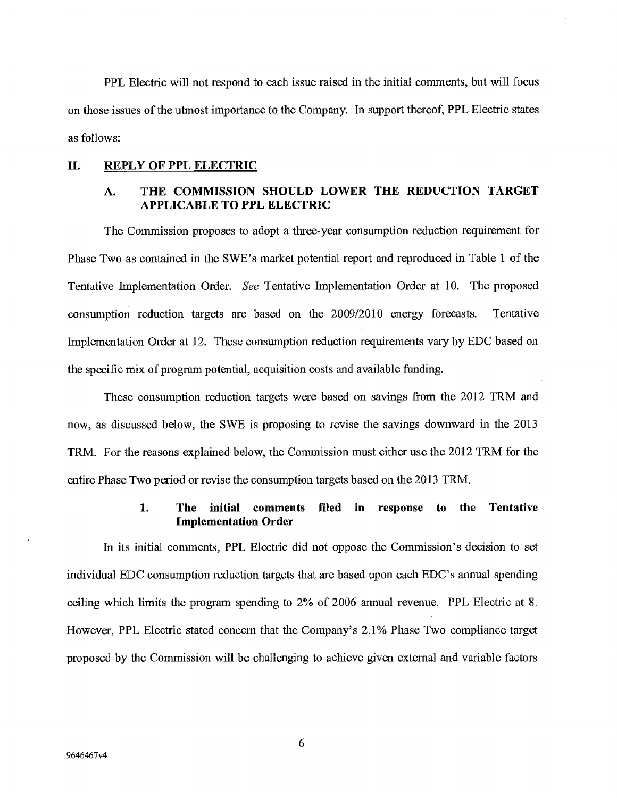PPL Electric will not respond to each issue raised in the initial comments, but will focus on those issues of the utmost importance to the Company. In support thereof, PPL Electric states as follows:

#### **II. REPLY OF PPL ELECTRIC**

# **A. THE COMMISSION SHOULD LOWER THE REDUCTION TARGET APPLICABLE TO PPL ELECTRIC**

The Commission proposes to adopt a three-year consumption reduction requirement for Phase Two as contained in the SWE's market potential report and reproduced in Table 1 of the Tentative Implementation Order. See Tentative implementation Order at 10. The proposed consumption reduction targets are based on the 2009/2010 energy forecasts. Tentative Implementation Order at 12. These consumption reduction requirements vary by EDC based on the specific mix of program potential, acquisition costs and available funding.

These consumption reduction targets were based on savings from the 2012 TRM and now, as discussed below, the SWE is proposing to revise the savings downward in the 2013 TRM. For the reasons explained below, the Commission must either use the 2012 TRM for the entire Phase Two period or revise the consumption targets based on the 2013 TRM.

# **1. The initial comments filed in response to the Tentative Implementation Order**

In its initial comments, PPL Electric did not oppose the Commission's decision to set individual EDC consumption reduction targets that are based upon each EDC' s annual spending ceiling which limits the program spending to 2% of 2006 annual revenue. PPL Electric at S. However, PPL Electric stated concern that the Company's 2.1% Phase Two compliance target proposed by the Commission will be challenging to achieve given external and variable factors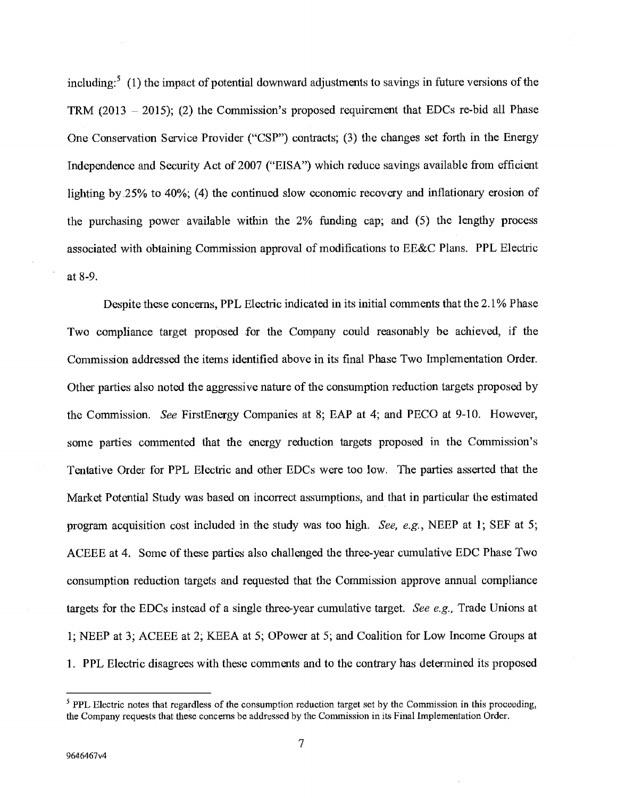including:<sup>5</sup> (1) the impact of potential downward adjustments to savings in future versions of the TRM  $(2013 - 2015)$ ; (2) the Commission's proposed requirement that EDCs re-bid all Phase One Conservation Service Provider ("CSP") contracts; (3) the changes set forth in the Energy Independence and Security Act of 2007 ("EISA") which reduce savings available from efficient lighting by .25% to 40%; (4) the continued slow economic recovery and inflationary erosion of the purchasing power available within the 2% funding cap; and (5) the lengthy process associated with obtaining Commission approval of modifications to EE&C Plans. PPL Electric at 8-9.

Despite these concerns, PPL Electric indicated in its initial comments that the 2.1% Phase Two compliance target proposed for the Company could reasonably be achieved, if the Commission addressed the items identified above in its final Phase Two Implementation Order. Other parties also noted the aggressive nature of the consumption reduction targets proposed by the Commission. See FirstEnergy Companies at 8; EAP at 4; and PECO at 9-10. However, some parties commented that the energy reduction targets proposed in the Commission's Tentative Order for PPL Electric and other EDCs were too low. The parties asserted that the Market Potential Study was based on incorrect assumptions, and that in particular the estimated program acquisition cost included in the study was too high. See, e.g., NEEP at 1; SEF at *5;*  ACEEE at 4. Some of these parties also challenged the three-year cumulative EDC Phase Two consumption reduction targets and requested that the Commission approve annual compliance targets for the EDCs instead of a single three-year cumulative target. See e.g., Trade Unions at 1; NEEP at 3; ACEEB at 2; KEEA at 5; OPower at *5;* and Coalition for Low Income Groups at 1. PPL Electric disagrees with these comments and to the contrary has detennined its proposed

 $<sup>5</sup>$  PPL Electric notes that regardless of the consumption reduction target set by the Commission in this proceeding,</sup> the Company requests that these concerns be addressed by the Commission in its Final Implementation Order.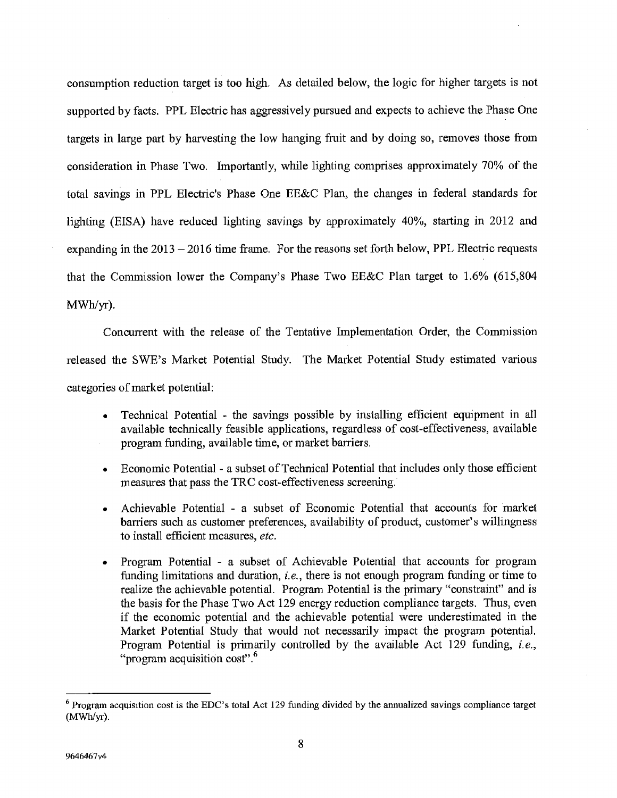consumption reduction target is too high. As detailed below, the logic for higher targets is not supported by facts. PPL Electric has aggressively pursued and expects to achieve the Phase One targets in large part by harvesting the low hanging fruit and by doing so, removes those from consideration in Phase Two. Importantly, while lighting comprises approximately 70% of the total savings in PPL Electric's Phase One EE&C Plan, the changes in federal standards for lighting (EISA) have reduced lighting savings by approximately 40%, starting in 2012 and expanding in the 2013 —2016 time frame, For the reasons set forth below, PPL Electric requests that the Commission lower the Company's Phase Two EE&C Plan target to 1.6% *(615,804*  MWh/yr).

Concurrent with the release of the Tentative Implementation Order, the Commission released the SWE's Market Potential Study. The Market Potential Study estimated various categories of market potential:

- Technical Potential the savings possible by installing efficient equipment in all available technically feasible applications, regardless of cost-effectiveness, available program funding, available time, or market barriers.
- Economic Potential a subset of Technical Potential that includes only those efficient measures that pass the TRC cost-effectiveness screening.
- Achievable Potential a subset of Economic Potential that accounts for market barriers such as customer preferences, availability of product, customer's willingness to install efficient measures, *etc.*
- Program Potential a subset of Achievable Potential that accounts for program funding limitations and duration, *i.e.,* there is not enough program funding or time to realize the achievable potential. Program Potential is the primary "constraint" and is the basis for the Phase Two Act 129 energy reduction compliance targets. Thus, even if the economic potential and the achievable potential were underestimated in the Market Potential Study that would not necessarily impact the program potential. Program Potential is primarily controlled by the available Act 129 funding, *i.e.,*  "program acquisition cost". <sup>6</sup>

**Program acquisition cost is the EDC's total Act** 129 funding divided by the annualized savings compliance target  $(MWh/yr)$ .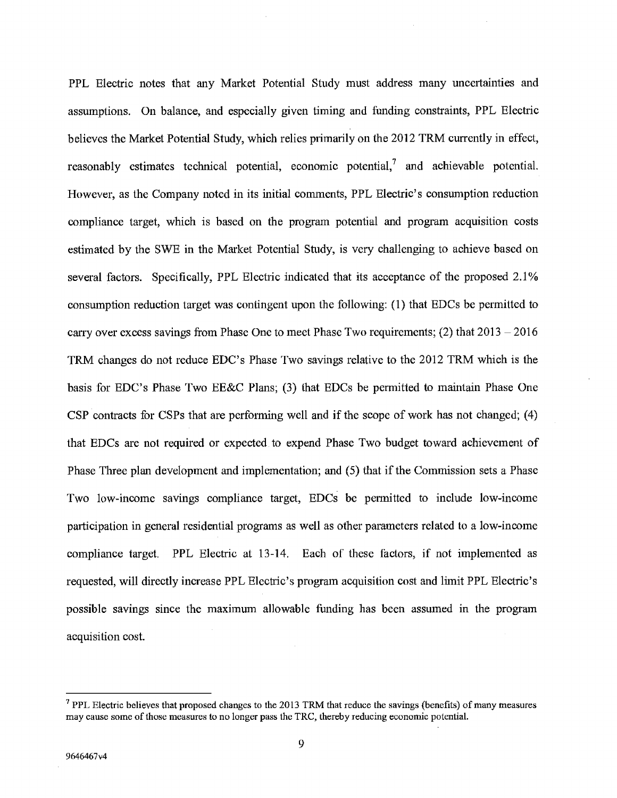PPL Electric notes that any Market Potential Study must address many uncertainties and assumptions. On balance, and especially given timing and funding constraints, PPL Electric believes the Market Potential Study, which relies primarily on the 2012 TRM currently in effect, reasonably estimates technical potential, economic potential,<sup>7</sup> and achievable potential. However, as the Company noted in its initial comments, PPL Electric's consumption reduction compliance target, which is based on the program potential and program acquisition costs estimated by the SWE in the Market Potential Study, is very challenging to achieve based on several factors. Specifically, PPL Electric indicated that its acceptance of the proposed 2.1% consumption reduction target was contingent upon the following: (1) that EDCs be permitted to carry over excess savings from Phase One to meet Phase Two requirements;  $(2)$  that  $2013 - 2016$ TRM changes do not reduce EDC's Phase Two savings relative to the 2012 TRM which is the basis for EDC's Phase Two EE&C Plans; (3) that EDCs be permitted to maintain Phase One CSP contracts for CSPs that are performing well and if the scope of work has not changed; (4) that EDCs are not required or expected to expend Phase Two budget toward achievement of Phase Three plan development and implementation; and *(5)* that if the Commission sets a Phase Two low-income savings compliance target, EDCs be permitted to include low-income participation in general residential programs as well as other parameters related to a low-income compliance target. PPL Electric at 13-14. Each of these factors, if not implemented as requested, will directly increase PPL Electric's program acquisition cost and limit PPL Electric's possible savings since the maximum allowable funding has been assumed in the program acquisition cost.

 $<sup>7</sup>$  PPL Electric believes that proposed changes to the 2013 TRM that reduce the savings (benefits) of many measures</sup> may cause some of those measures to no longer pass the TRC, thereby reducing economic potential.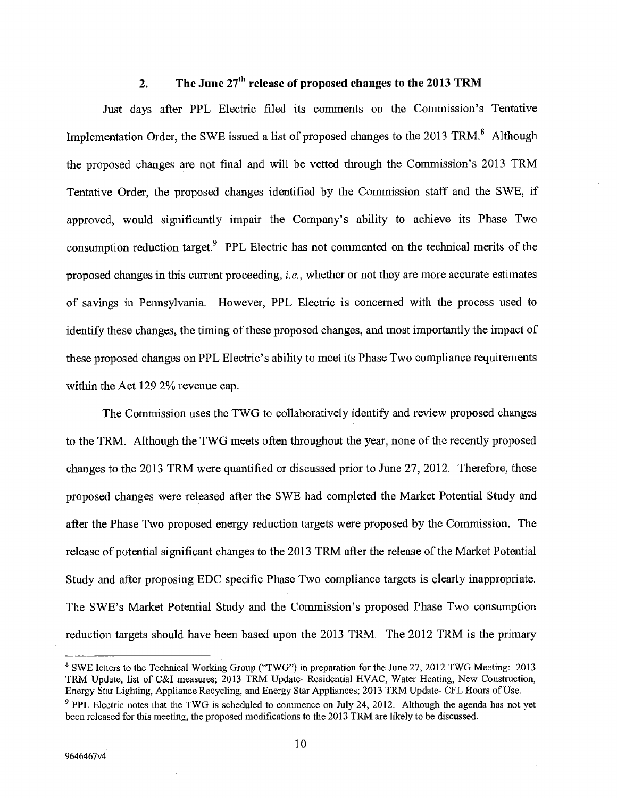# 2. The June 27<sup>th</sup> release of proposed changes to the 2013 TRM

Just days after PPL Electric filed its comments on the Commission's Tentative Implementation Order, the SWE issued a list of proposed changes to the  $2013$  TRM.<sup>8</sup> Although the proposed changes are not final and will be vetted through the Commission's 2013 TRM Tentative Order, the proposed changes identified by the Commission staff and the SWE, if approved, would significantly impair the Company's ability to achieve its Phase Two consumption reduction target.<sup>9</sup> PPL Electric has not commented on the technical merits of the proposed changes in this current proceeding, *i.e.,* whether or not they are more accurate estimates of savings in Pennsylvania. However, PPL Electric is concerned with the process used to identify these changes, the timing of these proposed changes, and most importantly the impact of these proposed changes on PPL Electric's ability to meet its Phase Two compliance requirements within the Act 129 2% revenue cap.

The Commission uses the TWG to collaboratively identify and review proposed changes to the TRM. Although the TWG meets often throughout the year, none of the recently proposed changes to the 2013 TRM were quantified or discussed prior to June 27, 2012. Therefore, these proposed changes were released after the SWE had completed the Market Potential Study and after the Phase Two proposed energy reduction targets were proposed by the Commission. The release of potential significant changes to the 2013 TRM after the release of the Market Potential Study and after proposing EDC specific Phase Two compliance targets is clearly inappropriate. The SWE's Market Potential Study and the Commission's proposed Phase Two consumption reduction targets should have been based upon the 2013 TRM, The 2012 TRM is the primary

<sup>&</sup>lt;sup>8</sup> SWE letters to the Technical Working Group ("TWG") in preparation for the June 27, 2012 TWG Meeting: 2013 TRM Update, list of C&I measures; 2013 TRM Update- Residential HVAC, Water Heating, New Construction, Energy Star Lighting, Appliance Recycling, and Energy Star Appliances; 2013 TRM Update- CFL Hours of Use.

<sup>&</sup>lt;sup>9</sup> PPL Electric notes that the TWG is scheduled to commence on July 24, 2012. Although the agenda has not yet been released for this meeting, the proposed modifications to the 2013 TRM are likely to be discussed.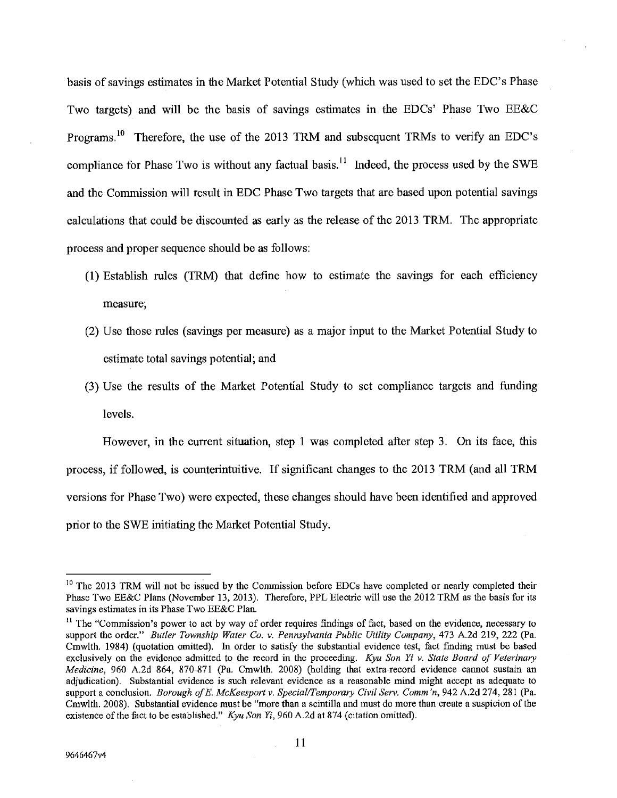basis of savings estimates in the Market Potential Study (which was used to set the EDC's Phase Two targets) and will be the basis of savings estimates in the EDCs' Phase Two EE&C Programs.<sup>10</sup> Therefore, the use of the 2013 TRM and subsequent TRMs to verify an EDC's compliance for Phase Two is without any factual basis.<sup>11</sup> Indeed, the process used by the SWE and the Commission will result in EDC Phase Two targets that are based upon potential savings calculations that could be discounted as early as the release of the 2013 TRM. The appropriate process and proper sequence should be as follows:

- (1) Establish rules (TRM) that define how to estimate the savings for each efficiency measure;
- (2) Use those rules (savings per measure) as a major input to the Market Potential Study to estimate total savings potential; and
- (3) Use the results of the Market Potential Study to set compliance targets and funding levels.

However, in the current situation, step 1 was completed after step 3. On its face, this process, if followed, is counterintuitive. If significant changes to the 2013 TRM (and all TRM versions for Phase Two) were expected, these changes should have been identified and approved prior to the SWE initiating the Market Potential Study.

 $10$  The 2013 TRM will not be issued by the Commission before EDCs have completed or nearly completed their Phase Two EE&C Plans (November 13, 2013). Therefore, PPL Electric will use the 2012 TRM as the basis for its savings estimates in its Phase Two BE&C Plan.

<sup>&</sup>lt;sup>11</sup> The "Commission's power to act by way of order requires findings of fact, based on the evidence, necessary to support the order." *Butler Township Water Co. v. Pennsylvania Public Utility Company*, 473 A.2d 219, 222 (Pa. Cmwlth. 1984) (quotation omitted). In order to satisfy the substantial evidence test, fact finding must be based exclusively on the evidence admitted to the record in the proceeding. *Kyu Son Yi v. State Board of Veterinary Medicine,* 960 A.2d 864, *870-871* (Pa. Cmwlth. 2008) (holding that extra-record evidence cannot sustain an adjudication). Substanlial evidence is such relevant evidence as a reasonable mind might accept as adequate to *support a conclusion. Borough of B. McKeesport v. Special/Temporary Civil Sery. Comm 'n, 942* A.2d *274,* 281 (Pa. Cmwlth. 2008). Substantial evidence must be "more than a scmtilla and must do more than create a suspicion of the existence of the fact to be established." *Kyu Son Yi, 960* A.2d at *874* (citation omitted).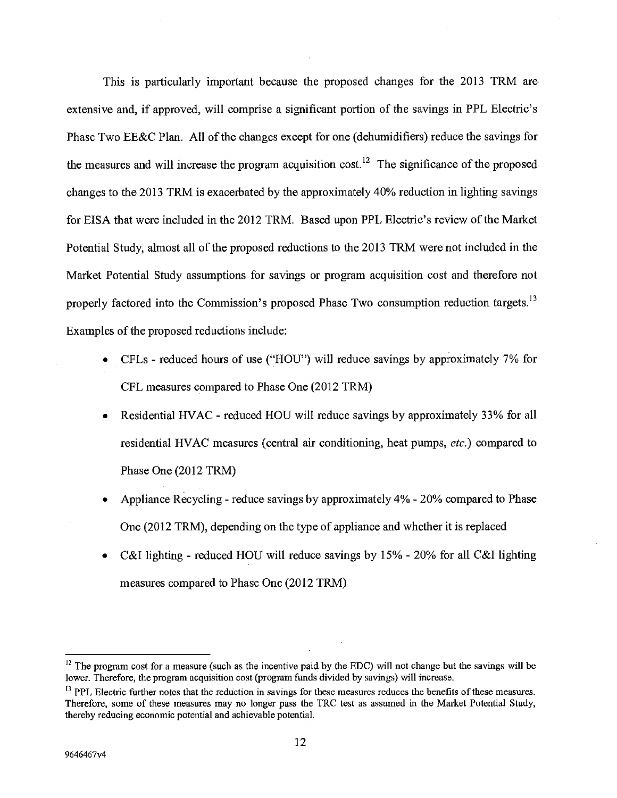This is particularly important because the proposed changes for the 2013 TRM are extensive and, if approved, will comprise a significant portion of the savings in PPL Electric's Phase Two EE&C Plan. All of the changes except for one (dehumidifiers) reduce the savings for the measures and will increase the program acquisition cost.<sup>12</sup> The significance of the proposed changes to the 2013 TRM is exacerbated by the approximately 40% reduction in lighting savings for EISA that were included in the 2012 TRM. Based upon PPL Electric's review of the Market Potential Study, almost all of the proposed reductions to the 2013 TRM were not included in the Market Potential Study assumptions for savings or program acquisition cost and therefore not properly factored into the Commission's proposed Phase Two consumption reduction targets.<sup>13</sup> Examples of the proposed reductions include:

- a CFLs reduced hours of use ("HOU") will reduce savings by approximately 7% for CFL measures compared to Phase One (2012 TRM)
- Residential HVAC reduced HOU will reduce savings by approximately 33% for all residential HVAC measures (central air conditioning, heat pumps, *etc.)* compared to Phase One (2012 TRM)
- Appliance Recycling reduce savings by approximately 4% 20% compared to Phase One (2012 TRM), depending on the type of appliance and whether it is replaced
- C&I lighting reduced HOU will reduce savings by *15%*  20% for all C&I lighting measures compared to Phase One (2012 TRM)

 $12$  The program cost for a measure (such as the incentive paid by the EDC) will not change but the savings will be lower. Therefore, the program acquisition cost (program funds divided by savings) will increase.

<sup>&</sup>lt;sup>13</sup> PPL Electric further notes that the reduction in savings for these measures reduces the benefits of these measures. Therefore, some of these measures may no longer pass the TRC test as assumed in the Market Potential Study, thereby reducing economic potential and achievable potential.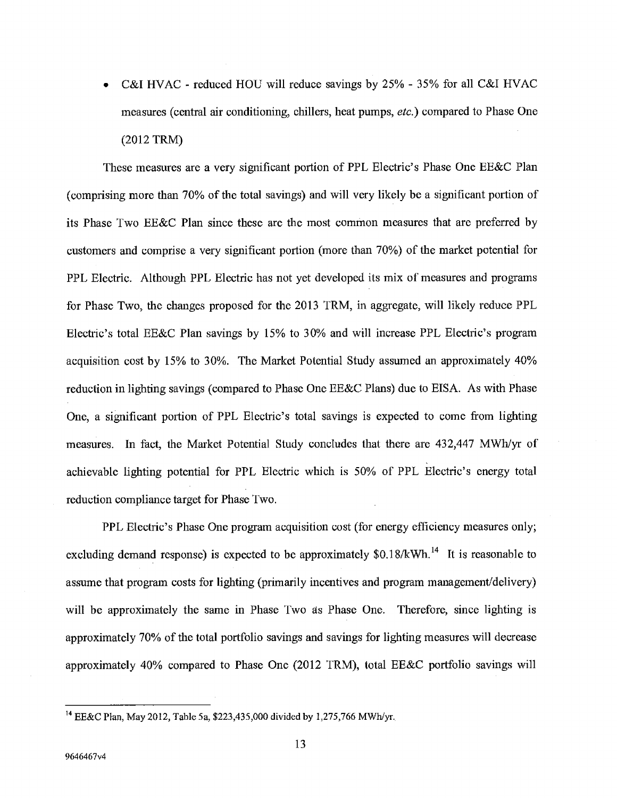. C&I HVAC - reduced HOU will reduce savings by *25%* - *35%* for all C&I HVAC measures (central air conditioning, chillers, heat pumps, *etc.)* compared to Phase One (2012 TRM)

These measures are a very significant portion of PPL Electric's Phase One EE&C Plan (comprising more than 70% of the total savings) and will very likely be a significant portion of its Phase Two EE&C Plan since these are the most common measures that are preferred by customers and comprise a very significant portion (more than 70%) of the market potential for PPL Electric. Although PPL Electric has not yet developed its mix of measures and programs for Phase Two, the changes proposed for the 2013 TRM, in aggregate, will likely reduce PPL Electric's total EE&C Plan savings by *15%* to 30% and will increase PPL Electric's program acquisition cost by 15% to 30%. The Market Potential Study assumed an approximately 40% reduction in lighting savings (compared to Phase One EE&C Plans) due to EISA. As with Phase One, a significant portion of PPL Electric's total savings is expected to come from lighting measures. In fact, the Market Potential Study concludes that there are 432,447 MWh/yr of achievable lighting potential for PPL Electric which is 50% of PPL Electric's energy total reduction compliance target for Phase Two.

PPL Electric's Phase One program acquisition cost (for energy efficiency measures only; excluding demand response) is expected to be approximately  $$0.18/kWh.<sup>14</sup>$  It is reasonable to assume that program costs for lighting (primarily incentives and program management/delivery) will be approximately the same in Phase Two as Phase One. Therefore, since lighting is approximately 70% of the total portfolio savings and savings for lighting measures will decrease approximately 40% compared to Phase One (2012 TRM), total EE&C portfolio savings will

<sup>14</sup>EE&C Plan, May 2012, Table Sa, \$223,435,000 divided by 1,275,766 MWh/yr.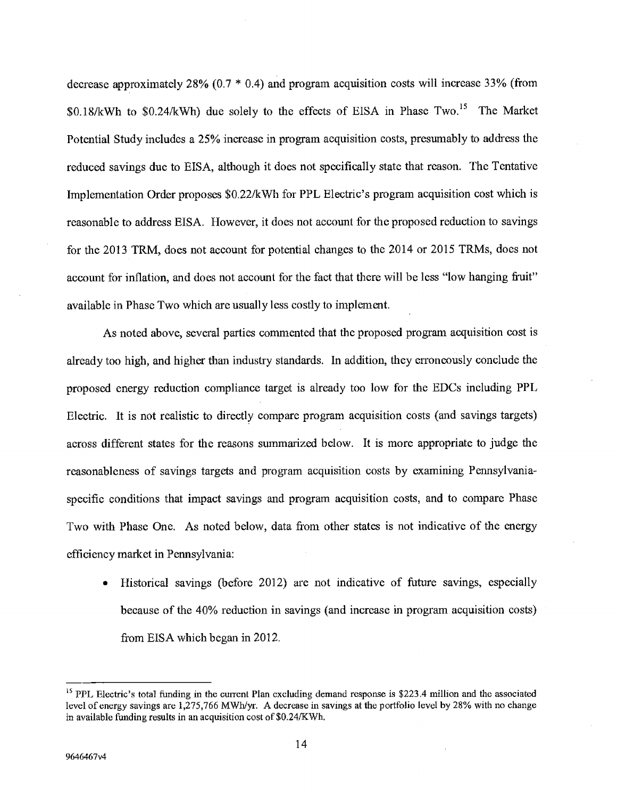decrease approximately 28% (0.7 \* 0.4) and program acquisition costs will increase 33% (from  $$0.18/kWh$  to  $$0.24/kWh$  due solely to the effects of EISA in Phase Two.<sup>15</sup> The Market Potential Study includes a *25%* increase in program acquisition costs, presumably to address the reduced savings due to EISA, although it does not specifically state that reason. The Tentative Implementation Order proposes \$0.22/kWh for PPL Electric's program acquisition cost which is reasonable to address EISA. However, it does not account for the proposed reduction to savings for the 2013 TRM, does not account for potential changes to the 2014 or 2015 TRMs, does not account for inflation, and does not account for the fact that there will be less "low hanging fruit" available in Phase Two which are usually less costly to implement.

As noted above, several parties commented that the proposed program acquisition cost is already too high, and higher than industry standards. In addition, they erroneously conclude the proposed energy reduction compliance target is already too low for the EDCs including PPL Electric. It is not realistic to directly compare program acquisition costs (and savings targets) across different states for the reasons summarized below. It is more appropriate to judge the reasonableness of savings targets and program acquisition costs by examining Pennsylvaniaspecific conditions that impact savings and program acquisition costs, and to compare Phase Two with Phase One. As noted below, data from other states is not indicative of the energy efficiency market in Pennsylvania:

• Historical savings (before 2012) are not indicative of future savings, especially because of the 40% reduction in savings (and increase in program acquisition costs) from EISA which began in 2012.

<sup>&</sup>lt;sup>15</sup> PPL Electric's total funding in the current Plan excluding demand response is \$223.4 million and the associated level of energy savings are 1,275,766 MWh/yr. A decrease in savings at the portfolio level by 28% with no change in available funding results in an acquisition cost of \$0.24/KWh.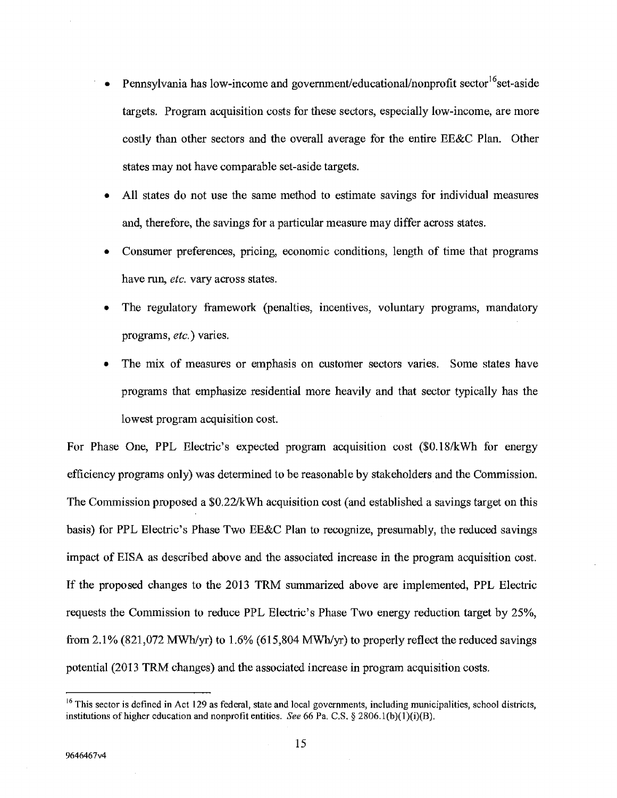- Pennsylvania has low-income and government/educational/nonprofit sector<sup>16</sup> set-aside targets. Program acquisition costs for these sectors, especially low-income, are more costly than other sectors and the overall average for the entire EE&C Plan. Other states may not have comparable set-aside targets.
- . All states do not use the same method to estimate savings for individual measures and, therefore, the savings for a particular measure may differ across states.
- Consumer preferences, pricing, economic conditions, length of time that programs have run, *etc.* vary across states.
- The regulatory framework (penalties, incentives, voluntary programs, mandatory programs, *etc.)* varies.
- The mix of measures or emphasis on customer sectors varies. Some states have programs that emphasize residential more heavily and that sector typically has the lowest program acquisition cost.

For Phase One, PPL Electric's expected program acquisition cost (\$0.18/kWh for energy efficiency programs only) was determined to be reasonable by stakeholders and the Commission. The Commission proposed a \$0.22/kWh acquisition cost (and established a savings target on this basis) for PPL Electric's Phase Two EE&C Plan to recognize, presumably, the reduced savings impact of EISA as described above and the associated increase in the program acquisition cost. If the proposed changes to the 2013 TRM summarized above are implemented, PPL Electric requests the Commission to reduce PPL Electric's Phase Two energy reduction target by *25%,*  from 2.1% (821,072 MWh/yr) to 1.6% (615,804 MWh/yr) to properly reflect the reduced savings potential (2013 TRM changes) and the associated increase in program acquisition costs.

<sup>&</sup>lt;sup>16</sup> This sector is defined in Act 129 as federal, state and local governments, including municipalities, school districts, institutions of higher cducation and nonprofit cntitics. *See 66 Pa, C.S.* § 2806.1(b)(1)(i)(B),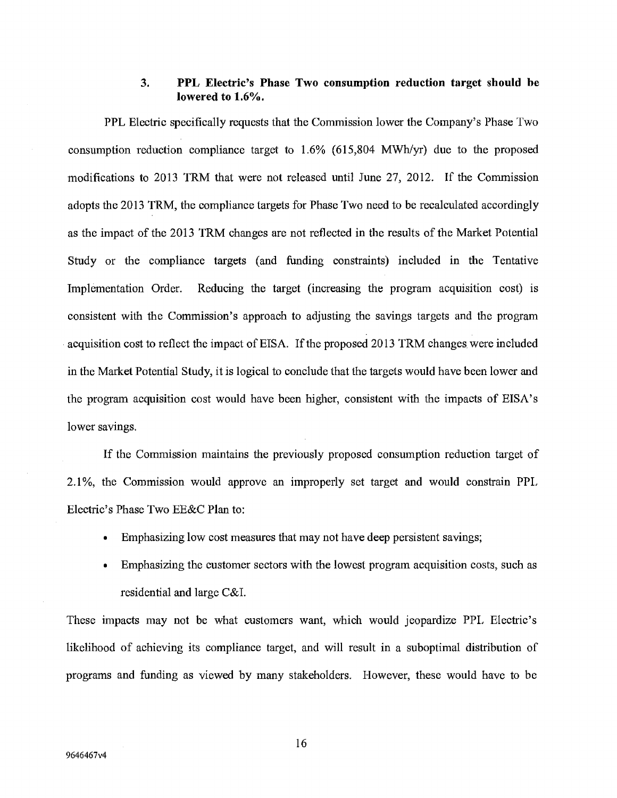### **3. PPL Electric's Phase Two consumption reduction target should be lowered to 1.6%.**

PPL Electric specifically requests that the Commission lower the Company's Phase Two consumption reduction compliance target to 1.6% (615,804 MWh/yr) due to the proposed modifications to 2013 TRM that were not released until June 27, 2012. If the Commission adopts the 2013 TRM, the compliance targets for Phase Two need to be recalculated accordingly as the impact of the 2013 TRM changes are not reflected in the results of the Market Potential Study or the compliance targets (and funding constraints) included in the Tentative Implementation Order. Reducing the target (increasing the program acquisition cost) is consistent with the Commission's approach to adjusting the savings targets and the program acquisition cost to reflect the impact of EISA. If the proposed 2013 TRM changes. were included in the Market Potential Study, it is logical to conclude that the targets would have been lower and the program acquisition cost would have been higher, consistent with the impacts of EISA's lower savings.

If the Commission maintains the previously proposed consumption reduction target of 2.1%, the Commission would approve an improperly set target and would constrain PPL Electric's Phase Two EE&C Plan to:

- Emphasizing low cost measures that may not have deep persistent savings;
- Emphasizing the customer sectors with the lowest program acquisition costs, such as residential and large C&I.

These impacts may not be what customers want, which would jeopardize PPL Electric's likelihood of achieving its compliance target, and will result in a suboptimal distribution of programs and funding as viewed by many stakeholders. However, these would have to be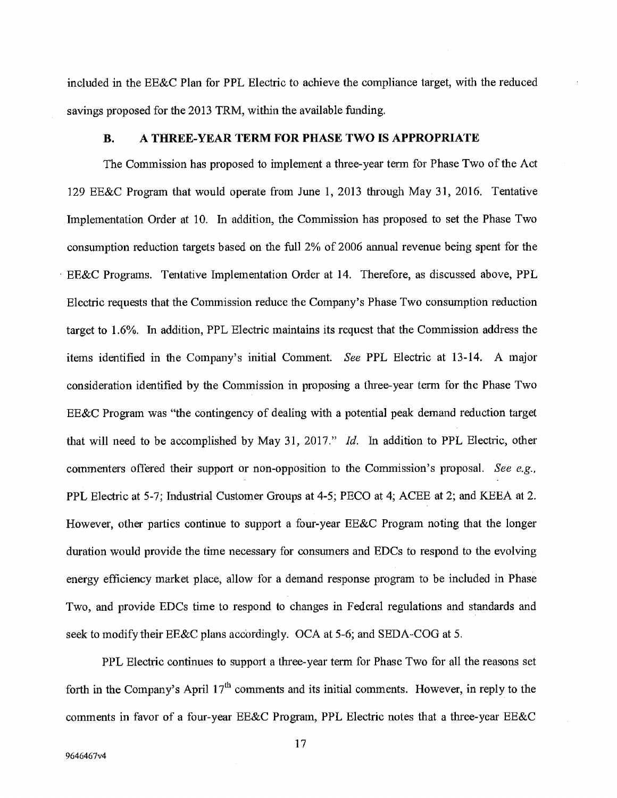included in the EE&C Plan for PPL Electric to achieve the compliance target, with the reduced savings proposed for the 2013 TRM, within the available funding.

#### **B. A THREE-YEAR TERM FOR PHASE TWO IS APPROPRIATE**

The Commission has proposed to implement a three-year term for Phase Two of the Act 129 EE&C Program that would operate from June 1, 2013 through May 31, 2016, Tentative Implementation Order at 10. In addition, the Commission has proposed to set the Phase Two consumption reduction targets based on the full 2% of 2006 annual revenue being spent for the BE&C Programs. Tentative Implementation Order at 14. Therefore, as discussed above, PPL Electric requests that the Commission reduce the Company's Phase Two consumption reduction target to 1.6%. Tn addition, PPL Electric maintains its request that the Commission address the items identified in the Company's initial Comment. *See* PPL Electric at 13-14. A major consideration identified by the Commission in proposing a three-year term for the Phase Two EE&C Program was "the contingency of dealing with a potential peak demand reduction target that will need to be accomplished by May 31, 2017." *Id.* In addition to PPL Electric, other commenters offered their support or non-opposition to the Commission's proposal. *See e.g.,*  PPL Electric at *5-7;* Industrial Customer Groups at *4-5;* PECO at 4; ACEE at 2; and KEEA at 2. However, other parties continue to support a four-year EE&C Program noting that the longer duration would provide the time necessary for consumers and EDCs to respond to the evolving energy efficiency market place, allow for a demand response program to be included in Phase Two, and provide EDCs time to respond to changes in Federal regulations and standards and seek to modify their EE&C plans accordingly. OCA at *5-6;* and SEDA-COG at *5.* 

PPL Electric continues to support a three-year term for Phase Two for all the reasons set forth in the Company's April  $17<sup>th</sup>$  comments and its initial comments. However, in reply to the comments in favor of a four-year EE&C Program, PPL Electric notes that a three-year EE&C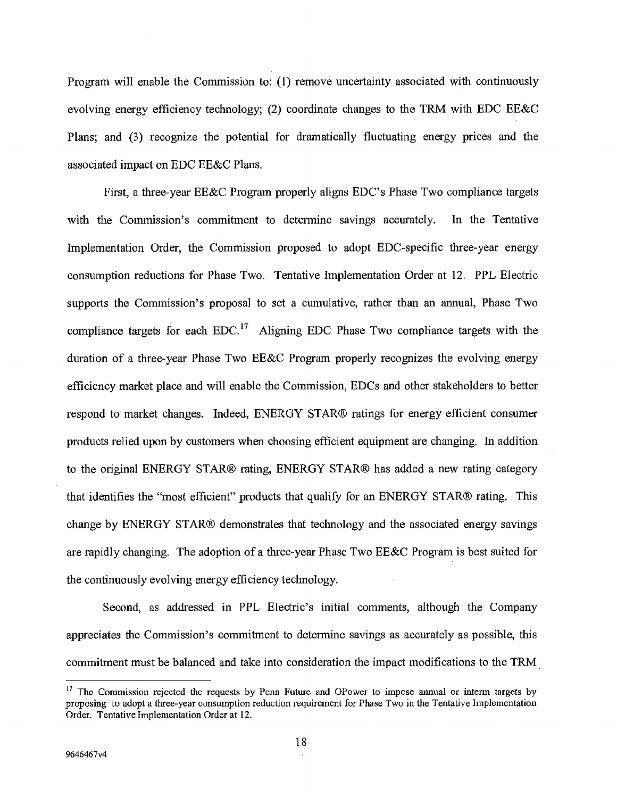Program will enable the Commission to: (1) remove uncertainty associated with continuously evolving energy efficiency technology; (2) coordinate changes to the TRM with EDC EE&C Plans; and (3) recognize the potential for dramatically fluctuating energy prices and the associated impact on EDC EE&C Plans.

First, a three-year EE&C Program properly aligns EDC's Phase Two compliance targets with the Commission's commitment to determine savings accurately. In the Tentative Implementation Order, the Commission proposed to adopt EDC-speciflc three-year energy consumption reductions for Phase Two. Tentative Implementation Order at 12. PPL Electric supports the Commission's proposal to set a cumulative, rather than an annual, Phase Two compliance targets for each  $EDC<sup>17</sup>$  Aligning EDC Phase Two compliance targets with the duration of a three-year Phase Two EB&C Program properly recognizes the evolving energy efficiency market place and will enable the Commission, EDCs and other stakeholders to better respond to market changes. Indeed, ENERGY STAR® ratings for energy efficient consumer products relied upon by customers when choosing efficient equipment are changing. In addition to the original ENERGY STAR® rating, ENERGY STAR® has added a new rating category that identifies the "most efficient" products that qualify for an ENERGY STAR® rating. This change by ENERGY STAR® demonstrates that technology and the associated energy savings are rapidly changing. The adoption of a three-year Phase Two EE&C Program is best suited for the continuously evolving energy efficiency technology.

Second, as addressed in PPL Electric's initial comments, although the Company appreciates the Commission's commitment to determine savings as accurately as possible, this commitment must be balanced and take into consideration the impact modifications to the TRM

<sup>&</sup>lt;sup>17</sup> The Commission rejected the requests by Penn Future and OPower to impose annual or interm targets by proposing to adopt a three-year consumption reduction requirement for Phase Two in the Tentative Implementation Order. Tentative Implementation Order at 12.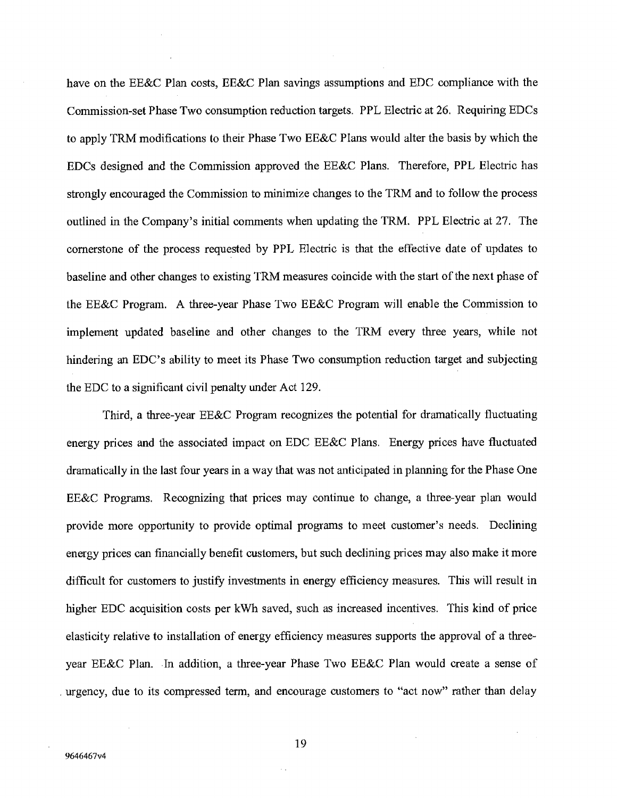have on the EE&C Plan costs, EE&C Plan savings assumptions and EDC compliance with the Commjssion-set Phase Two consumption reduction targets. PPL Electric at 26. Requiring EDCs to apply TRM modifications to their Phase Two EE&C Plans would alter the basis by which the EDCs designed and the Commission approved the EE&C Plans. Therefore, PPL Electric has strongly encouraged the Commission to minimize changes to the TRM and to follow the process outlined in the Company's initial comments when updating the TRM. PPL Electric at 27. The cornerstone of the process requested by PPL Electric is that the effective date of updates to baseline and other changes to existing TRM measures coincide with the start of the next phase of the EE&C Program. A three-year Phase Two EE&C Program will enable the Commission to implement updated baseline and other changes to the TRM every three years, while not hindering an EDC's ability to meet its Phase Two consumption reduction target and subjecting the EDC to a significant civil penalty under Act 129.

Third, a three-year EE&C Program recognizes the potential for dramatically fluctuating energy prices and the associated impact on EDC EE&C Plans. Energy prices have fluctuated dramatically in the last four years in a way that was not anticipated in planning for the Phase One EE&C Programs. Recognizing that prices may continue to change, a three-year plan would provide more opportunity to provide optimal programs to meet customer's needs. Declining energy prices can financially benefit customers, but such declining prices may also make it more difficult for customers to justify investments in energy efficiency measures. This will result in higher EDC acquisition costs per kWh saved, such as increased incentives. This kind of price elasticity relative to installation of energy efficiency measures supports the approval of a threeyear EE&C Plan, In addition, a three-year Phase Two EE&C Plan would create a sense of urgency, due to its compressed term, and encourage customers to "act now" rather than delay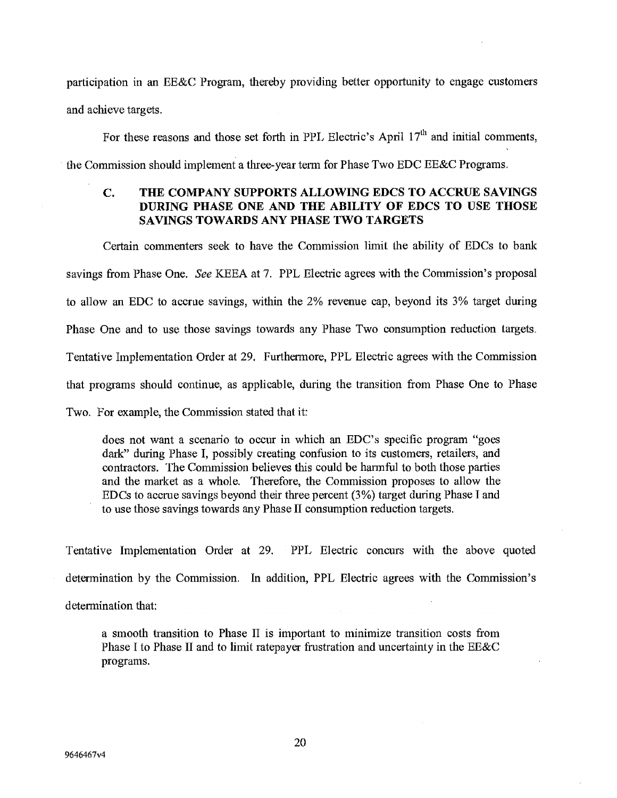participation in an EE&C Program, thereby providing better opportunity to engage customers and achieve targets.

For these reasons and those set forth in PPL Electric's April  $17<sup>th</sup>$  and initial comments,

the Commission should implement a three-year term for Phase Two EDC EE&C Programs.

# **C. THE COMPANY SUPPORTS ALLOWiNG EDCS TO ACCRUE SAVINGS DURING PHASE ONE AND THE ABILITY OF EDCS TO USE THOSE SAVINGS TOWARDS ANY PHASE TWO TARGETS**

Certain commenters seek to have the Commission limit the ability of EDCs to bank sayings from Phase One. See KEEA at 7. PPL Electric agrees with the Commission's proposal to allow an EDC to accrue savings, within the 2% revenue cap, beyond its 3% target during Phase One and to use those savings towards any Phase Two consumption reduction targets. Tentative Implementation Order at 29. Furthermore, PPL Electric agrees with the Commission that programs should continue, as applicable, during the transition from Phase One to Phase Two. For example, the Commission stated that it:

does not want a scenario to occur in which an EDC's specific program "goes dark" during Phase I, possibly creating confusion to its customers, retailers, and contractors. The Commission believes this could be harmful to both those parties and the market as a whole. Therefore, the Commission proposes to allow the EDCs to accrue savings beyond their three percent (3%) target during Phase I and to use those savings towards any Phase II consumption reduction targets.

Tentative Implementation Order at 29. PPL Electric concurs with the above quoted determination by the Commission. In addition, PPL Electric agrees with the Commission's determination that:

a smooth transition to Phase II is important to minimize transition costs from Phase I to Phase II and to limit ratepayer frustration and uncertainty in the EE&C programs.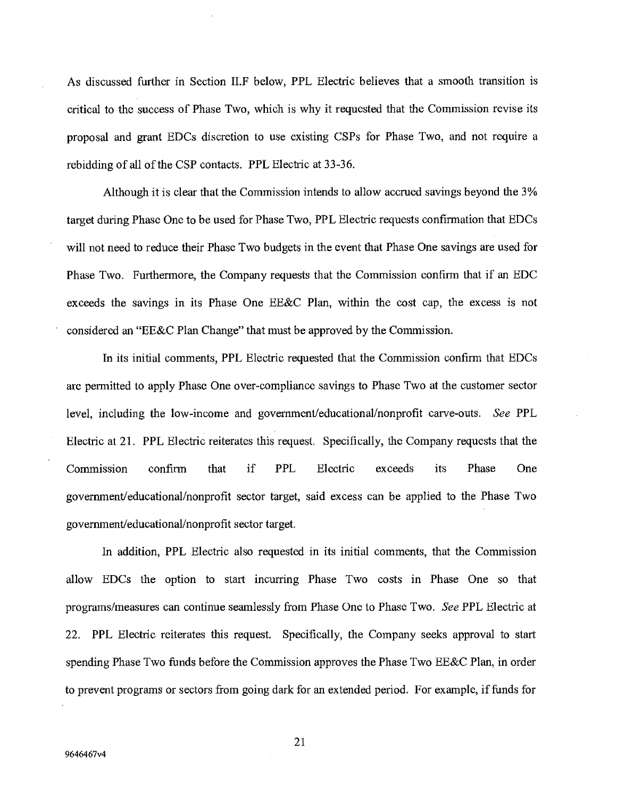As discussed further in Section II.F below, PPL Electric believes that a smooth transition is critical to the success of Phase Two, which is why it requested that the Commission revise its proposal and grant EDCs discretion to use existing CSPs for Phase Two, and not require a rebidding of all of the CSP contacts. PPL Electric at 33-36,

Although it is clear that the Commission intends to allow accrued savings beyond the 3% target during Phase One to be used for Phase Two, PPL Electric requests confirmation that EDCs will not need to reduce their Phase Two budgets in the event that Phase One savings are used for Phase Two. Furthermore, the Company requests that the Commission confirm that if an EDC exceeds the savings in its Phase One EE&C Plan, within the cost cap, the excess is not considered an "EE&C Plan Change" that must be approved by the Commission.

In its initial comments, PPL Electric requested that the Commission confirm that EDCs are permitted to apply Phase One over-compliance savings to Phase Two at the customer sector level, including the low-income and government/educational/nonprofit carve-outs. See PPL Electric at 21. PPL Electric reiterates this request. Specifically, the Company requests that the Commission confirm that if PPL Electric exceeds its Phase One government/educational/nonprofit sector target, said excess can be applied to the Phase Two government/educational/nonprofit sector target.

In addition, PPL Electric also requested in its initial comments, that the Commission allow EDCs the option to start incurring Phase Two costs in Phase One so that programs/measures can continue seamlessly from Phase One to Phase Two. *See* PPL Electric at 22. PPL Electric reiterates this request. Specifically, the Company seeks approval to start spending Phase Two funds before the Commission approves the Phase Two EE&C Plan, in order to prevent programs or sectors from going dark for an extended period. For example, if funds for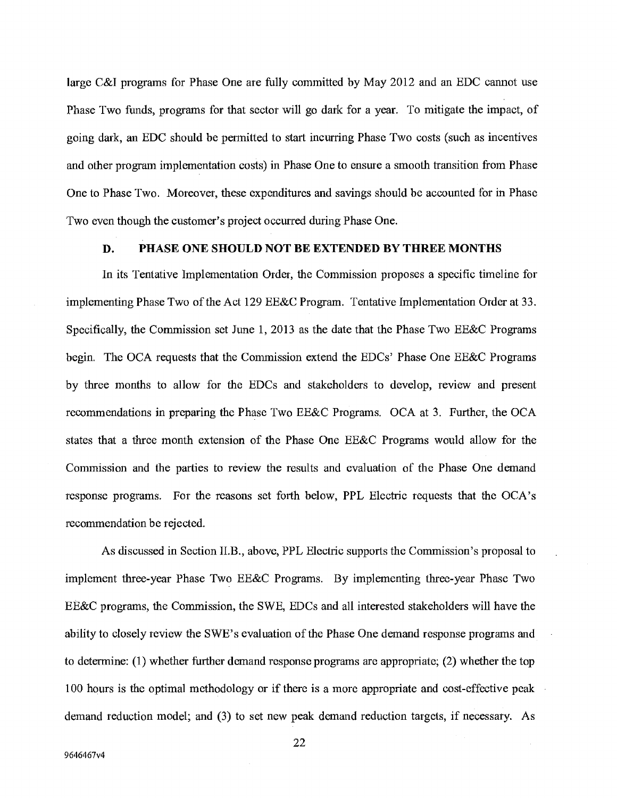large C&I programs for Phase One are fully committed by May 2012 and an EDC cannot use Phase Two funds, programs for that sector will go dark for a year. To mitigate the impact, of going dark, an EDC should be permitted to start incurring Phase Two costs (such as incentives and other program implementation costs) in Phase One to ensure a smooth transition from Phase One to Phase Two. Moreover, these expenditures and savings should be accounted for in Phase Two even though the customer's project occurred during Phase One.

#### **D. PHASE ONE SHOULD NOT BE EXTENDED BY THREE MONTHS**

In its Tentative Implementation Order, the Commission proposes a specific timeline for implementing Phase Two of the Act 129 EE&C Program. Tentative Implementation Order at 33. Specifically, the Commission set June 1, 2013 as the date that the Phase Two EE&C Programs begin. The OCA requests that the Commission extend the EDCs' Phase One EE&C Programs by three months to allow for the EDCs and stakeholders to develop, review and present recommendations in preparing the Phase Two EE&C Programs. OCA at 3. Further, the OCA states that a three month extension of the Phase One EE&C Programs would allow for the Commission and the parties to review the results and evaluation of the Phase One demand response programs. For the reasons set forth below, PPL Electric requests that the OCA's recommendation be rejected.

As discussed in Section II.B., above, PPL Electric supports the Commission's proposal to implement three-year Phase Two EE&C Programs. By implementing three-year Phase Two EE&C programs, the Commission, the SWE, EDCs and all interested stakeholders will have the ability to closely review the SWE' s evaluation of the Phase One demand response programs and to determine: (1) whether further demand response programs are appropriate; (2) whether the top 100 hours is the optimal methodology or if there is a more appropriate and cost-effective peak demand reduction model; and (3) to set new peak demand reduction targets, if necessary. As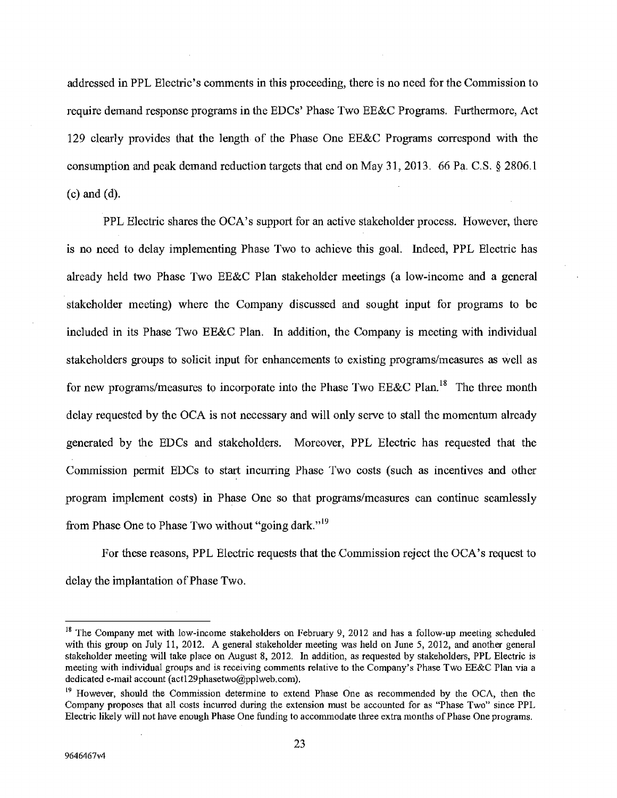addressed in PPL Electric's comments in this proceeding, there is no need for the Commission to require demand response programs in the EDCs' Phase Two BE&C Programs. Furthermore, Act 129 clearly provides that the length of the Phase One EE&C Programs correspond with the consumption and peak demand reduction targets that end on May 31, 2013. 66 Pa. C.S. § 2806.1 (c) and (d).

PPL Electric shares the OCA's support for an active stakeholder process. However, there is no need to delay implementing Phase Two to achieve this goal. Indeed, PPL Electric has already held two Phase Two EE&C Plan stakeholder meetings (a low-income and a general stakeholder meeting) where the Company discussed and sought input for programs to be included in its Phase Two EE&C Plan. In addition, the Company is meeting with individual stakeholders groups to solicit input for enhancements to existing programs/measures as well as for new programs/measures to incorporate into the Phase Two EE&C Plan.<sup>18</sup> The three month delay requested by the OCA is not necessary and will only serve to stall the momentum already generated by the EDCs and stakeholders. Moreover, PPL Electric has requested that the Commission permit EDCs to start incurring Phase Two costs (such as incentives and other program implement costs) in Phase One so that programs/measures can continue seamlessly from Phase One to Phase Two without "going dark."<sup>19</sup>

For these reasons, PPL Electric requests that the Commission reject the OCA's request to delay the implantation of Phase Two.

<sup>&</sup>lt;sup>18</sup> The Company met with low-income stakeholders on February 9, 2012 and has a follow-up meeting scheduled with this group on July 11, 2012. A general stakeholder meeting was held on June *5,* 2012, and another general stakeholder meeting will take place on August 8, 2012. In addition, as requested by stakeholders, PPL Electric is meeting with individual groups and is receiving comments relative to the Company's Phase Two EE&C Plan via a dedicated e-mail account (act129phasetwo@pplweb.com).

<sup>&</sup>lt;sup>19</sup> However, should the Commission determine to extend Phase One as recommended by the OCA, then the Company proposes that all costs incurred during the extension must be accounted for as "Phase Two" since PPL Electric likely will not have enough Phase One funding to accommodate three extra months of Phase One programs.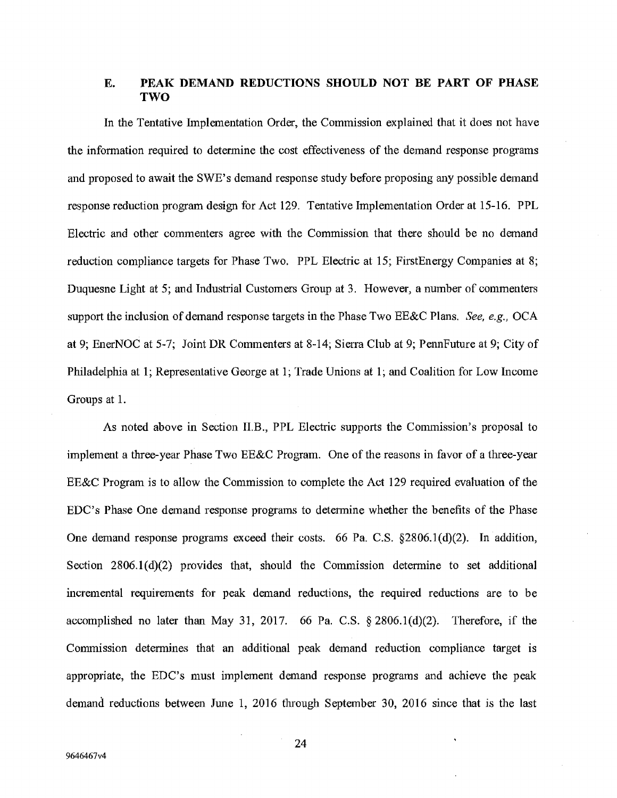### **E. PEAK DEMAND REDUCTIONS SHOULD NOT BE PART OF PHASE TWO**

In the Tentative Implementation Order, the Commission explained that it does not have the information required to detennine the cost effectiveness of the demand response programs and proposed to await the SWE's demand response study before proposing any possible demand response reduction program design for Act 129. Tentative Implementation Order at 15-16. PPL Electric and other commenters agree with the Commission that there should be no demand reduction compliance targets for Phase Two. PPL Electric at *15;* FirstEnergy Companies at 8; Duquesne Light at *5;* and Industrial Customers Group at 3. However, a number of commenters support the inclusion of demand response targets in the Phase Two EE&C Plans. *See, e.g., OCA*  at 9; EnerNOC at *5-7;* Joint DR Commenters at 8-14; Sierra Club at 9; PennFuture at 9; City of Philadelphia at 1; Representative George at 1; Trade Unions at 1; and Coalition for Low Income Groups at 1.

As noted above in Section II.B., PPL Electric supports the Commission's proposal to implement a three-year Phase Two EE&C Program. One of the reasons in favor of a three-year EE&C Program is to allow the Commission to complete the Act 129 required evaluation of the EDC's Phase One demand response programs to determine whether the benefits of the Phase One demand response programs exceed their costs. 66 Pa. C.S. §2806.1(d)(2). In addition, Section  $2806.1(d)(2)$  provides that, should the Commission determine to set additional incremental requirements for peak demand reductions, the required reductions are to be accomplished no later than May 31, 2017. 66 Pa. C.S.  $\S 2806.1(d)(2)$ . Therefore, if the Commission determines that an additional peak demand reduction compliance target is appropriate, the EDC's must implement demand response programs and achieve the peak demand reductions between June 1, 2016 through September 30, 2016 since that is the last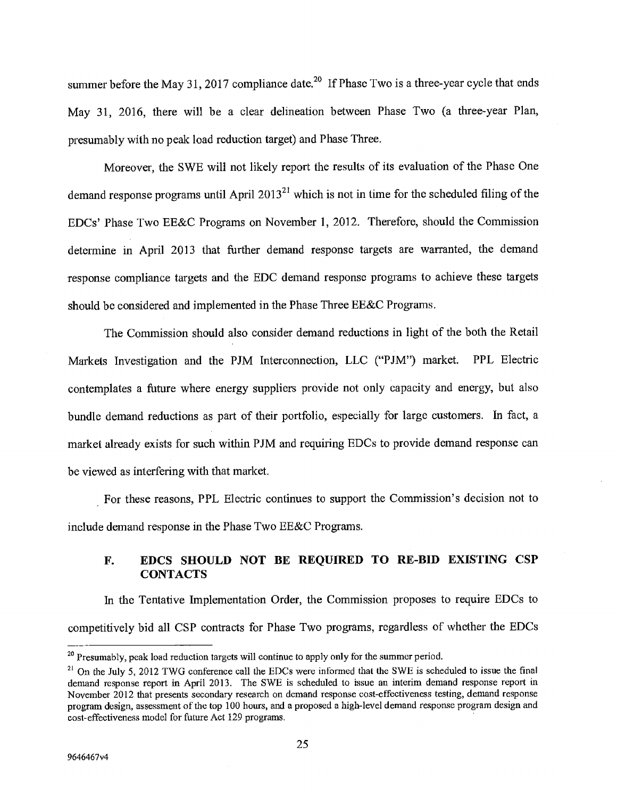summer before the May 31, 2017 compliance date.<sup>20</sup> If Phase Two is a three-year cycle that ends May 31, 2016, there will be a clear delineation between Phase Two (a three-year Plan, presumably with no peak load reduction target) and Phase Three.

Moreover, the SWE will not likely report the results of its evaluation of the Phase One demand response programs until April 201321 which is not in time for the scheduled *filing* of the EDCs' Phase Two EE&C Programs on November 1, 2012. Therefore, should the Commission determine in April 2013 that further demand response targets are warranted, the demand response compliance targets and the EDC demand response programs to achieve these targets should be considered and implemented in the Phase Three  $EE&C$  Programs.

The Commission should also consider demand reductions in light of the both the Retail Markets Investigation and the PJM Interconnection, LLC ("PJM") market. PPL Electric contemplates a future where energy suppliers provide not only capacity and energy, but also bundle demand reductions as part of their portfolio, especially for large customers. In fact, a market already exists for such within PJM and requiring EDCs to provide demand response can be viewed as interfering with that market.

For these reasons, PPL Electric continues to support the Commission's decision not to include demand response in the Phase Two EE&C Programs.

# **F. EDCS SHOULD NOT BE REQUIRED TO RE-BID EXISTING CSP CONTACTS**

In the Tentative Implementation Order, the Commission proposes to require EDCs to competitively bid all CSP contracts for Phase Two programs, regardless of whether the EDCs

<sup>&</sup>lt;sup>20</sup> Presumably, peak load reduction targets will continue to apply only for the summer period.

<sup>&</sup>lt;sup>21</sup> On the July 5, 2012 TWG conference call the EDCs were informed that the SWE is scheduled to issue the final demand response report in April 2013. The SWE is scheduled to issue an interim demand response report in November 2012 that presents secondary research on demand response cost-effectiveness testing, demand response program design, assessment of the top 100 hours, and a proposed a high-level demand response program design and cost-effectiveness model for future Act 129 programs.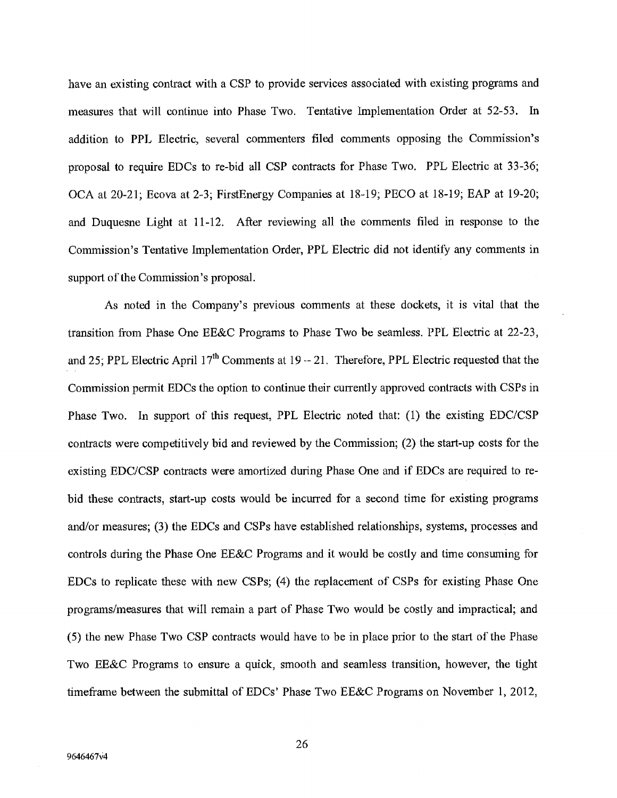have an existing contract with a CSP to provide services associated with existing programs and measures that will continue into Phase Two. Tentative Implementation Order at 52-53. In addition to PPL Electric, several commenters filed comments opposing the Commission's proposal to require EDCs to re-bid all CSP contracts for Phase Two. PPL Electric at 33-36; OCA at 20-21; Ecova at 2-3; FirstEnergy Companies at 18-19; PECO at 18-19; EAP at 19-20; and Duquesne Light at 11-12. After reviewing all the comments filed in response to the Commission's Tentative Implementation Order, PPL Electric did not identify any comments in support of the Commission's proposal.

As noted in the Company's previous comments at these dockets, it is vital that the transition from Phase One EE&C Programs to Phase Two be seamless. PPL Electric at 22-23, and 25; PPL Electric April  $17<sup>th</sup>$  Comments at  $19 - 21$ . Therefore, PPL Electric requested that the Commission permit EDCs the option to continue their currently approved contracts with CSPs in Phase Two. In support of this request, PPL Electric noted that: (1) the existing EDC/CSP contracts were competitively bid and reviewed by the Commission; (2) the start-up costs for the existing EDC/CSP contracts were amortized during Phase One and if EDCs are required to rebid these contracts, start-up costs would be incurred for a second time for existing programs and/or measures; (3) the EDCs and CSPs have established relationships, systems, processes and controls during the Phase One EE&C Programs and it would be costly and time consuming for EDCs to replicate these with new CSPs; (4) the replacement of CSPs for existing Phase One programs/measures that will remain a part of Phase Two would be costly and impractical; and *(5)* the new Phase Two CSP contracts would have to be in place prior to the start of the Phase Two EE&C Programs to ensure a quick, smooth and seamless transition, however, the tight timeframe between the submittal of EDCs' Phase Two EE8C Programs on November 1, 2012,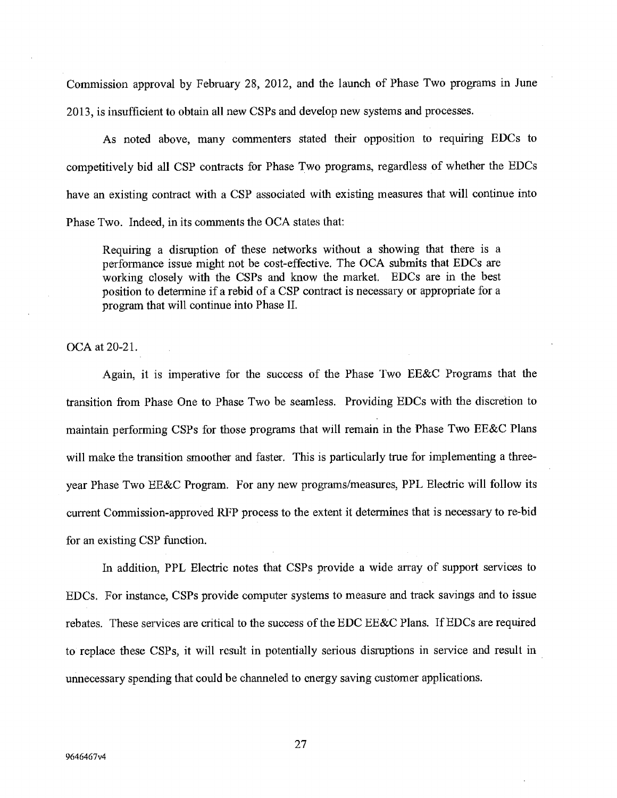Commission approval by February 28, 2012, and the launch of Phase Two programs in June 2013, is insufficient to obtain all new CSPs and develop new systems and processes.

As noted above, many commenters stated their opposition to requiring EDCs to competitively bid all CSP contracts for Phase Two programs, regardless of whether the EDCs have an existing contract with a CSP associated with existing measures that will continue into Phase Two. Indeed, in its comments the OCA states that:

Requiring a disruption of these networks without a showing that there is a performance issue might not be cost-effective. The OCA submits that EDCs are working closely with the CSPs and know the market. EDCs are in the best position to determine if a rebid of a CSP contract is necessary or appropriate for a program that will continue into Phase II.

OCA at 20-21.

Again, it is imperative for the success of the Phase Two EE&C Programs that the transition from Phase One to Phase Two be seamless. Providing EJJCs with the discretion to maintain performing CSPs for those programs that will remain in the Phase Two EE&C Plans will make the transition smoother and faster. This is particularly true for implementing a threeyear Phase Two EE&C Program. For any new programs/measures, PPL Electric will follow its current Commission-approved RFP process to the extent it determines that is necessary to re-bid for an existing CSP function.

In addition, PPL Electric notes that CSPs provide a wide array of support services to EDCs. For instance, CSPs provide computer systems to measure and track savings and to issue rebates. These services are critical to the success of the EDC EE&C Plans. If EDCs are required to replace these CSPs, it will result in potentially serious disruptions in service and result in unnecessary spending that could be channeled to energy saving customer applications.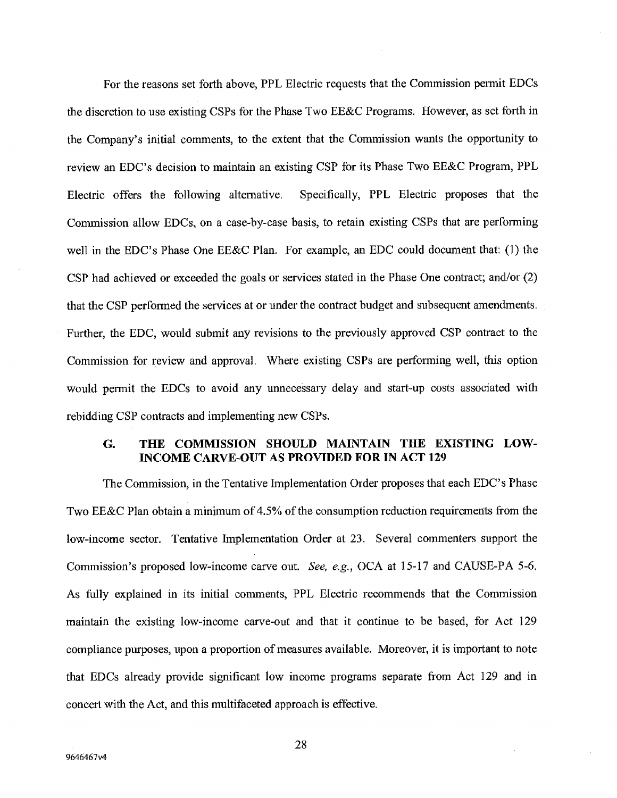For the reasons set forth above, PPL Electric requests that the Commission permit EDCs the discretion to use existing CSPs for the Phase Two EE&C Programs. However, as set forth in the Company's initial comments, to the extent that the Commission wants the opportunity to review an EDC's decision to maintain an existing CSP for its Phase Two EE&C Program, PPL Electric offers the following alternative. Specifically, PPL Electric proposes that the Commission allow EDCs, on a case-by-case basis, to retain existing CSPs that are performing well in the EDC's Phase One EE&C Plan. For example, an EDC could document that: (1) the CSP had achieved or exceeded the goals or services stated in the Phase One contract; and/or (2) that the CSP performed the services at or under the contract budget and subsequent amendments. Further, the EDC, would submit any revisions to the previously approved CSP contract to the Commission for review and approval. Where existing CSPs are performing well, this option would permit the EDCs to avoid any unnecessary delay and start-up costs associated with rebidding CSP contracts and implementing new CSPs.

# **G. THE COMMISSION SHOULD MAINTAIN THE EXISTING LOW-INCOME CARVE-OUT AS PROVIDED FOR IN ACT 129**

The Commission, in the Tentative Implementation Order proposes that each EDC's Phase Two EE&C Plan obtain a minimum of *4.5%* of the consumption reduction requirements from the low-income sector. Tentative Implementation Order at 23. Several commenters support the Commission's proposed low-income carve out. *See, e.g., OCA at 15-17* and CAUSE-PA *5-6.*  As fully explained in its initial comments, PPL Electric recommends that the Commission maintain the existing low-income carve-out and that it continue to be based, for Act 129 compliance purposes, upon a proportion of measures available. Moreover, it is important to note that EDCs already provide significant low income programs separate from Act 129 and in concert with the Act, and this multifaceted approach is effective.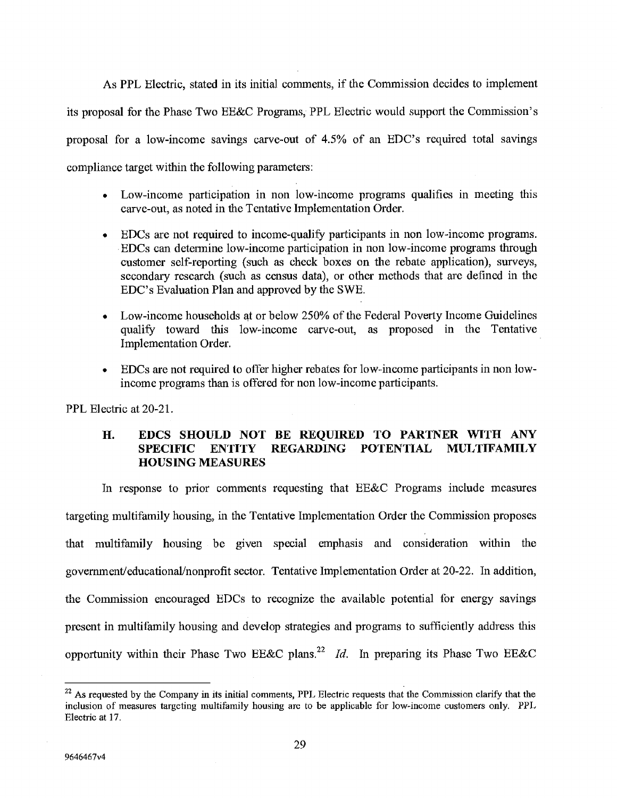As PPL Electric, stated in its initial comments, *if* the Commission decides to implement its proposal for the Phase Two EE&C Programs, PPL Electric would support the Commission's proposal for a low-income savings carve-out of *4.5%* of an EDC's required total savings compliance target within the following parameters:

- Low-income participation in non low-income programs qualifies in meeting this carve-out, as noted in the Tentative Implementation Order.
- EDCs are not required to income-qualify participants in non low-income programs. EDCs can determine low-income participation in non low-income programs through customer self-reporting (such as check boxes on the rebate application), surveys, secondary research (such as census data), or other methods that are defined in the EDC's Evaluation Plan and approved by the SWE.
- Low-income households at or below 250% of the Federal Poverty Income Guidelines qualify toward this low-income carve-out, as proposed in the Tentative Implementation Order.
- EDCs are not required to offer higher rebates for low-income participants in non lowincome programs than is offered for non low-income participants.

PPL Electric at 20-21.

### **H. EDCS SHOULD NOT BE REQUIRED TO PARTNER WITH ANY SPECIFIC ENTITY REGARDING POTENTIAL MULTIFAMILY HOUSING MEASURES**

In response to prior comments requesting that EE&C Programs include measures targeting multifamily housing, in the Tentative Implementation Order the Commission proposes that multifamily housing be given special emphasis and consideration within the government/educational/nonprofit sector. Tentative Implementation Order at 20-22. In addition, the Commission encouraged EDCs to recognize the available potential for energy savings present in multifamily housing and develop strategies and programs to sufficiently address this opportunity within their Phase Two EE&C plans.<sup>22</sup> *Id.* In preparing its Phase Two EE&C

 $22$  As requested by the Company in its initial comments, PPL Electric requests that the Commission clarify that the inclusion of measures targeting multifamily housing arc to be applicable for low-income customers only. PPL Electric at 17.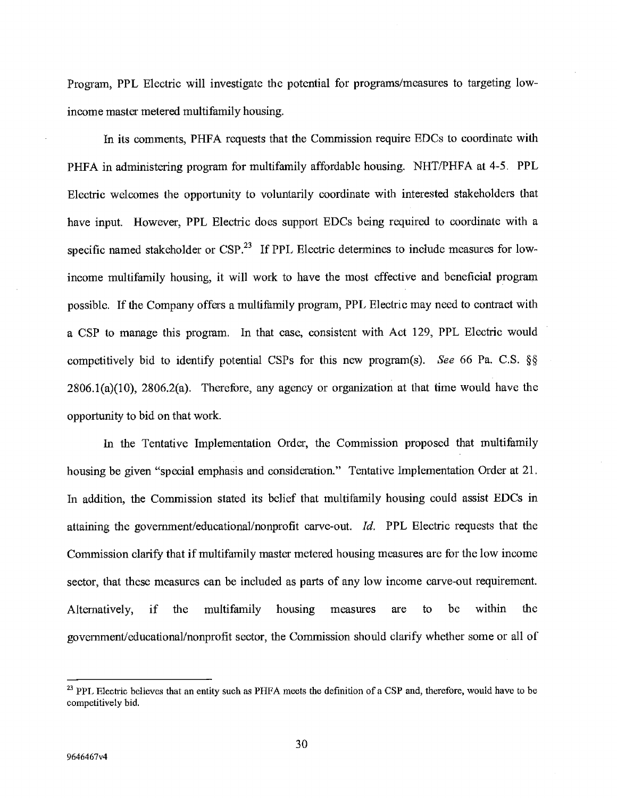Program, PPL Electric will investigate the potential for programs/measures to targeting lowincome master metered multifamily housing.

En its comments, PHFA requests that the Commission require EDCs to coordinate with PHFA in administering program for multifamily affordable housing. NHT/PHFA at 4-5. PPL Electric welcomes the opportunity to voluntarily coordinate with interested stakeholders that have input. However, PPL Electric does support EDCs being required to coordinate with a specific named stakeholder or CSP.<sup>23</sup> If PPL Electric determines to include measures for lowincome multifamily housing, it will work to have the most effective and beneficial program possible. If the Company offers a multifamily program, PPL Electric may need to contract with a CSP to manage this program. In that case, consistent with Act 129, PPL Electric would competitively bid to identify potential CSPs for this new program(s). *See 66 Pa. C.S. §*  2806.1(a)(10), 2806.2(a). Therefore, any agency or organization at that time would have the opportunity to bid on that work.

In the Tentative Implementation Order, the Commission proposed that multifamily housing be given "special emphasis and consideration." Tentative Implementation Order at 21. In addition, the Commission stated its belief that multifamily housing could assist EDCs in attaining the government/educational/nonprofit carve-out. *Id.* PPL Electric requests that the Commission clarify that if multifamily master metered housing measures are for the low income sector, that these measures can be included as parts of any low income carve-out requirement. Alternatively, if the multifamily housing measures are to be within the government/educational/nonprofit sector, the Commission should clarify whether some or all of

<sup>&</sup>lt;sup>23</sup> PPL Electric believes that an entity such as PHFA meets the definition of a CSP and, therefore, would have to be competitively bid.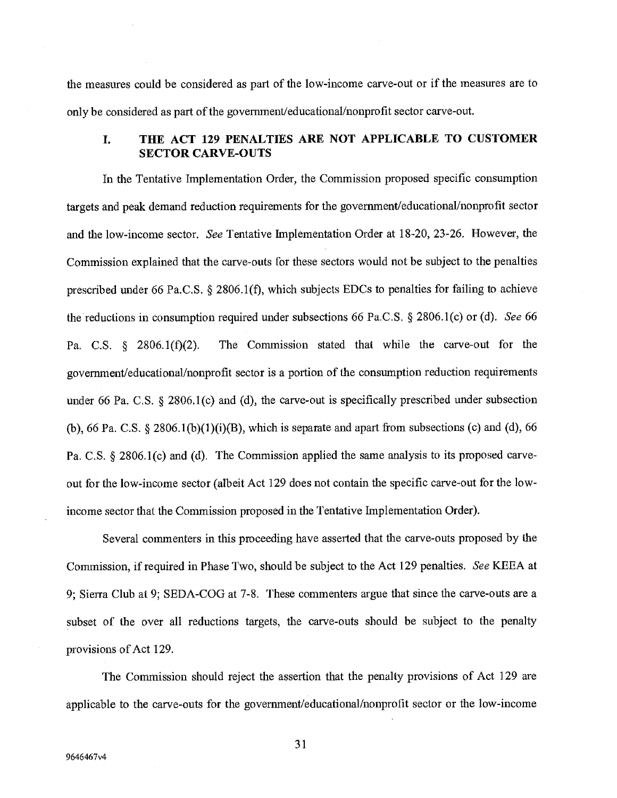the measures could be considered as part of the low-income carve-out or if the measures are to only be considered as part of the government/educational/nonprofit sector carve-out.

# **I. THE ACT 129 PENALTIES ARE NOT APPLICABLE TO CUSTOMER SECTOR CARVE-OUTS**

In the Tentative Implementation Order, the Commission proposed specific consumption targets and peak demand reduction requirements for the government/educational/nonprofit sector and the low-income sector. See Tentative Implementation Order at 18-20, 23-26. However, the Commission explained that the carve-outs for these sectors would not be subject to the penalties prescribed under 66 Pa.C.S. § 2806.1(f), which subjects EDCs to penalties for failing to achieve the reductions in consumption required under subsections 66 Pa.C.S. § 2806.1(c) or (d). See 66 Pa. C.S. § 2806,1(f)(2). The Commission stated that while the carve-out for the government/educational/nonprofit sector is a portion of the consumption reduction requirements under 66 Pa. C.S. § 2806.1(c) and (d), the carve-out is specifically prescribed under subsection (b), 66 Pa. C.S. § 2806.1(b)(1)(i)(B), which is separate and apart from subsections (c) and (d), 66 Pa. C.S. § 2806,1(e) and (d). The Commission applied the same analysis to its proposed carveout for the low-income sector (albeit Act 129 does not contain the specific carve-out for the lowincome sector that the Commission proposed in the Tentative Implementation Order).

Several commenters in this proceeding have asserted that the carve-outs proposed by the Commission, if required in Phase Two, should be subject to the Act 129 penalties. See KEEA at 9; Sierra Club at 9; SEDA-COG at 7-8. These commenters argue that since the carve-outs are a subset of the over all reductions targets, the carve-outs should be subject to the penalty provisions of Act 129.

The Commission should reject the assertion that the penalty provisions of Act 129 are applicable to the carve-outs for the government/educational/nonprofit sector or the low-income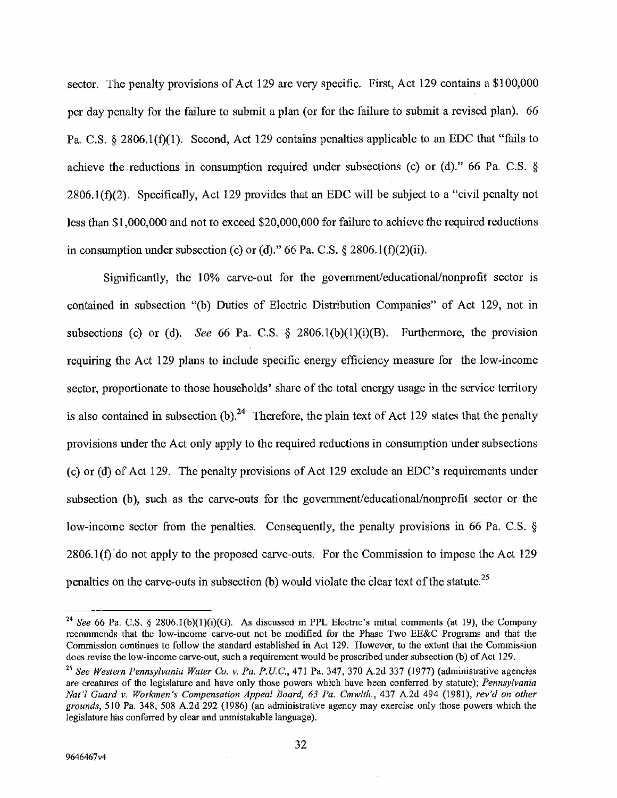sector. The penalty provisions of Act 129 are very specific. First, Act 129 contains a \$100,000 per day penalty for the failure to submit a plan (or for the failure to submit a revised plan). 66 Pa. C.S. § 2806.1(f)(1). Second, Act 129 contains penalties applicable to an EDC that "fails to achieve the reductions in consumption required under subsections (c) or (d)." 66 Pa. C.S. § 2806.1(f)(2). Specifically, Act 129 provides that an EDC will be.subject to a "civil penalty not less than \$1,000,000 and not to exceed \$20,000,000 for failure to achieve the required reductions in consumption under subsection (c) or (d)." 66 Pa. C.S.  $\S 2806.1(f)(2)(ii)$ .

Significantly, the 10% carve-out for the government/educational/nonprofit sector is contained in subsection "(b) Duties of Electric Distribution Companies" of Act 129, not in subsections *(C)* or (d). *See* 66 Pa. C.S. § 2806.1(b)(1)(i)(B). Furthermore, the provision requiring the Act 129 plans to include specific energy efficiency measure for the low-income sector, proportionate to those households' share of the total energy usage in the service territory is also contained in subsection (b).<sup>24</sup> Therefore, the plain text of Act 129 states that the penalty provisions under the Act only apply to the required reductions in consumption under subsections (c) or (d) of Act 129. The penalty provisions of Act 129 exclude an EDC's requirements under subsection (b), such as the carve-outs for the government/educational/nonprofit sector or the low-income sector from the penalties. Consequently, the penalty provisions in 66 Pa. C.S. §  $2806.1(f)$  do not apply to the proposed carve-outs. For the Commission to impose the Act 129 penalties on the carve-outs in subsection (b) would violate the clear text of the statute.<sup>25</sup>

<sup>&</sup>lt;sup>24</sup> See 66 Pa. C.S. § 2806.1(b)(1)(i)(G). As discussed in PPL Electric's initial comments (at 19), the Company recommends that the low-income carve-out not be modified for the Phase Two EE&C Programs and that the Commission continues to follow the standard established in Act 129. However, to the extent that the Commission does revise the low-income carve-out, such a requirement would be proscribed under subsection (b) of Act 129.

<sup>25</sup>*See Wertern Pennsylvania Water Co. v. Pa. P.U.C., 471* Pa. 347, 370 A.2d 337 *(1977)* (aclmimstrative agencies are creatures of the legislature and have only those powers which have been conferred by statute); *Pennsylvania Nat? Guard v. Workmen's Compensation Appeal Board, 63 Pa. Cmwlth., 437 A.2d 494 (1981), rev'd on other grounds, 510 Pa.* 348, 508 A.2d 292 (1986) (an administrative agency may exercise only those powers which the legislature has conferred by clear and unmistakable language).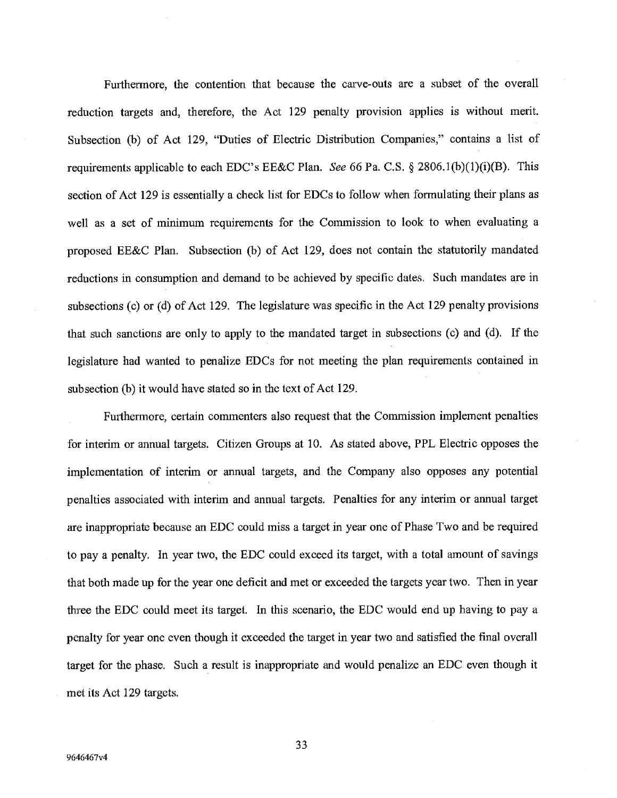Furthermore, the contention that because the carve-outs are a subset of the overall reduction targets and, therefore, the Act 129 penalty provision applies is without merit. Subsection (b) of Act 129, "Duties of Electric Distribution Companies," contains a list of requirements applicable to each EDC's EE&C Plan. *See* 66 Pa. C.S. § 2806.1(b)(1)(i)(B). This section of Act 129 is essentially a check list for EDCs to follow when formulating their plans as well as a set of minimum requirements for the Commission to look to when evaluating a proposed EE&C Plan. Subsection (b) of Act 129, does not contain the statutorily mandated reductions in consumption and demand to be achieved by specific dates. Such mandates are in subsections (c) or (d) of Act 129. The legislature was specific in the Act 129 penalty provisions that such sanctions are only to apply to the mandated target in subsections (c) and (d). If the legislature had wanted to penalize EDCs for not meeting the plan requirements contained in subsection (b) it would have stated so in the text of Act 129.

Furthermore, certain commenters also request that the Commission implement penalties for interim or annual targets. Citizen Groups at 10. As stated above, PPL Electric opposes the implementation of interim or annual targets, and the Company also opposes any potential penalties associated with interim and annual targets. Penalties for any interim or annual target are inappropriate because an EDC could miss a target in year one of Phase Two and be required to pay a penalty. In year two, the EDC could exceed its target, with a total amount of savings that both made up for the year one deficit and met or exceeded the targets year two. Then in year three the EDC could meet its target. In this scenario, the EDC would end up having to pay a penalty for year one even though it exceeded the target in year two and satisfied the final overall target for the phase. Such a result is inappropriate and would penalize an EDC even though it met its Act 129 targets.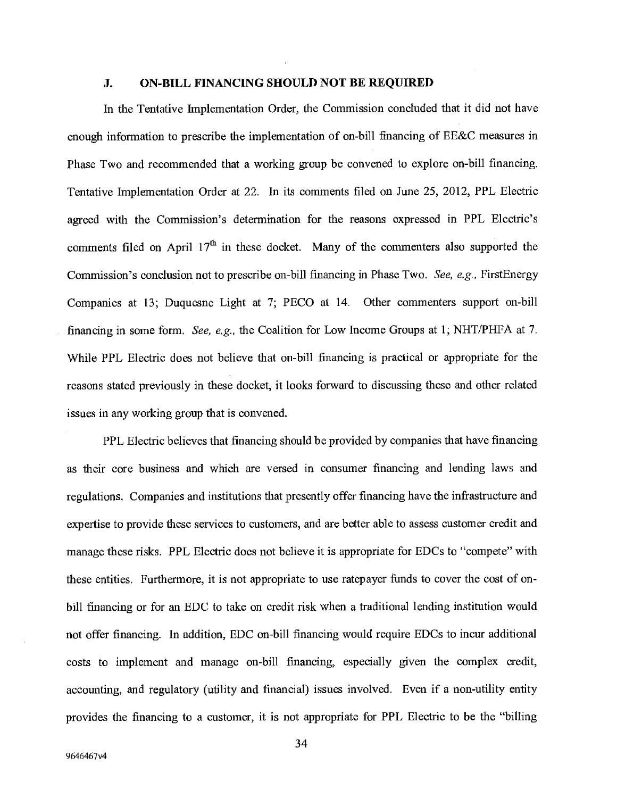#### **J. ON-BILL FINANCING SHOULD NOT BE REQUIRED**

In the Tentative Implementation Order, the Commission concluded that it did not have enough information to prescribe the implementation of on-bill financing of EE&C measures in Phase Two and recommended that a working group be convened to explore on-bill financing. Tentative Implementation Order at 22. In its comments filed on June *25,* 2012, PPL Electric agreed with the Commission's determination for the reasons expressed in PPL Electric's comments filed on April 17<sup>th</sup> in these docket. Many of the commenters also supported the Commission's conclusion not to prescribe on-bill financing in Phase Two. See, e.g., FirstEnergy Companies at 13; Duquesne Light at 7; PECO at 14. Other commenters support on-bill financing in some form. See, e.g., the Coalition for Low Income Groups at 1; NHT/PHFA at 7. While PPL Electric does not believe that on-bill financing is practical or appropriate for the reasons stated previously in these docket, it looks forward to discussing these and other related issues in any working group that is convened.

PPL Electric believes that financing should be provided by companies that have financing as their core business and which are versed in consumer financing and lending laws and regulations. Companies and institutions that presently offer financing have the infrastructure and expertise to provide these services to customers, and are better able to assess customer credit and manage these risks. PPL Electric does not believe it is appropriate for EDCs to "compete" with these entities. Furthermore, it is not appropriate to use ratepayer funds to cover the cost of onbill financing or for an EDC to take on credit risk when a traditional lending institution would not offer financing. In addition, EDC on-bill financing would require EDCs to incur additional costs to implement and manage on-bill financing, especially given the complex credit, accounting, and regulatory (utility and financial) issues involved. Even if a non-utility entity provides the financing to a customer, it is not appropriate for PPL Electric to be the "billing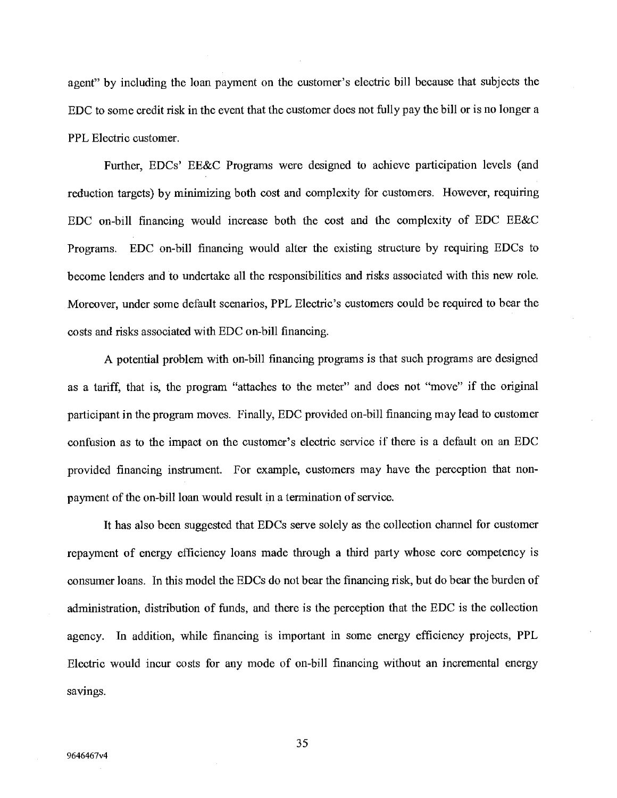agent" by including the loan payment on the customer's electric bill because that subjects the EDC to some credit risk in the event that the customer does not fully pay the bill or is no longer a PPL Electric customer.

Further, EDCs' EE&C Programs were designed to achieve participation levels (and reduction targets) by minimizing both cost and complexity for customers. However, requiring EDC on-bill financing would increase both the cost and the complexity of EDC EE&C Programs. EDC on-bill financing would alter the existing structure by requiring EDCs to become tenders and to undertake all the responsibilities and risks associated with this new role. Moreover, under some default scenarios, PPL Electric's customers could be required to bear the costs and risks associated with EDC on-bill financing.

A potential problem with on-bill financing programs is that such programs are designed as a tariff, that is, the program "attaches to the meter" and does not "move" if the original participant in the program moves. Finally, EDC provided on-bill financing may lead to customer confusion as to the impact on the customer's electric service if there is a default on an EDC provided financing instrument. For example, customers may have the perception that nonpayment of the on-bill loan would result in a termination of service.

It has also been suggested that EDCs serve solely as the collection channel for customer repayment of energy efficiency loans made through a third party whose core competency is consumer loans. In this model the EDCs do not bear the financing risk, but do bear the burden of administration, distribution of funds, and there is the perception that the EDC is the collection agency. In addition, while financing is important in some energy efficiency projects, PPL Electric would incur costs for any mode of on-bill financing without an incremental energy savings.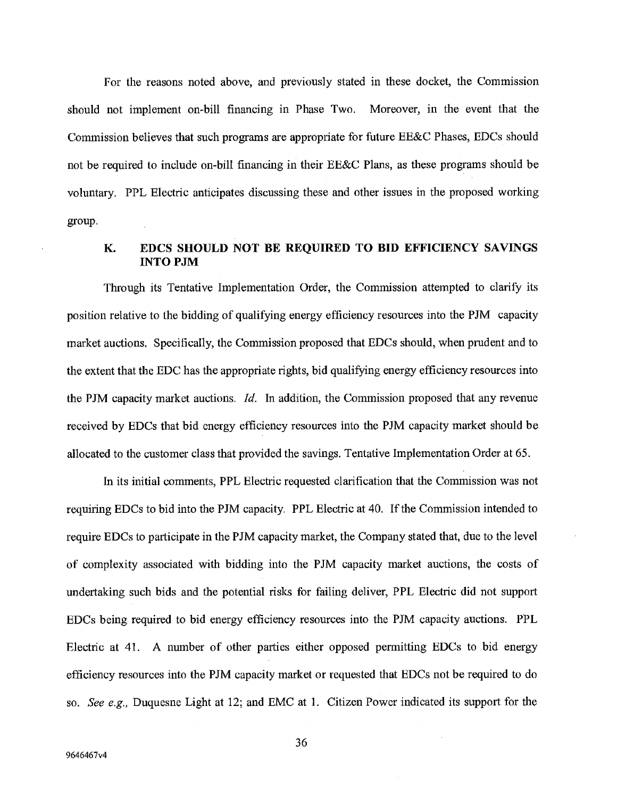For the reasons noted above, and previously stated in these docket, the Commission should not implement on-bill financing in Phase Two. Moreover, in the event that the Commission believes that such programs are appropriate for future EE&C Phases, EDCs should not be required to include on-bill financing in their EE&C Plans, as these programs should be voluntary. PPL Electric anticipates discussing these and other issues in the proposed working group.

### **K. EDCS SHOULD NOT BE REQUIRED TO BID EFFICIENCY SAVINGS INTO PJM**

Through its Tentative Implementation Order, the Commission attempted to clarify its position relative to the bidding of qualifying energy efficiency resources into the PJM capacity market auctions. Specifically, the Commission proposed that EDCs should, when prudent and to the extent that the EDC has the appropriate rights, bid qualifying energy efficiency resources into the PJM capacity market auctions. *Id.* In addition, the Commission proposed that any revenue received by EDCs that bid energy efficiency resources into the PJM capacity market should be allocated to the customer class that provided the savings. Tentative Implementation Order at *65.* 

In its initial comments, PPL Electric requested clarification that the Commission was not requiring EDCs to bid into the PJM capacity. PPL Electric at 40. If the Commission intended to require EDCs to participate in the PJM capacity market, the Company stated that, due to the level of complexity associated with bidding into the PJM capacity market auctions, the costs of undertaking such bids and the potential risks for failing deliver, PPL Electric did not support EDCs being required to bid energy efficiency resources into the PJM capacity auctions. PPL Electric at 41. A number of other parties either opposed permitting EDCs to bid energy efficiency resources into the PJM capacity market or requested that EDCs not be required to do *so. See e.g.,* Duquesne Light at 12; and EMC at 1. Citizen Power indicated its support for the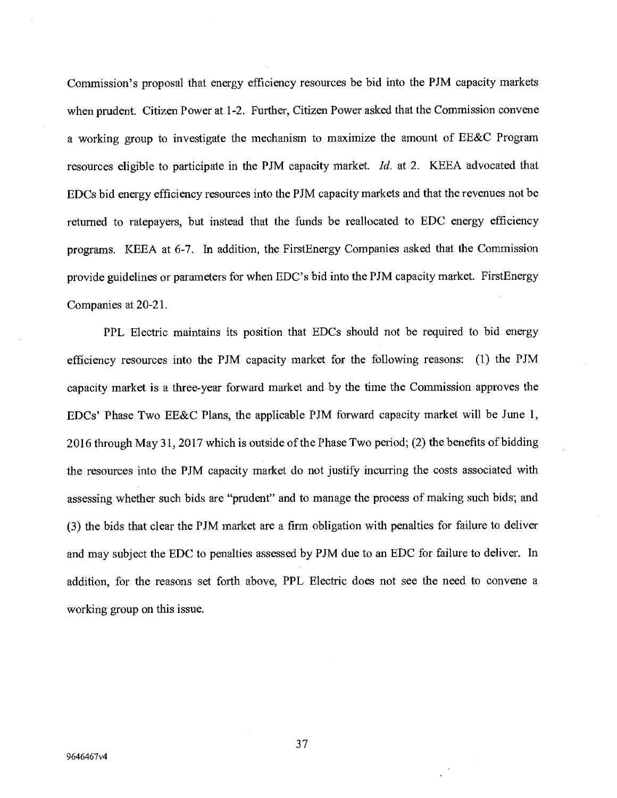Commission's proposal that energy efficiency resources be bid into the PJM capacity markets when prudent. Citizen Power at 1-2. Further, Citizen Power asked that the Commission convene a working group to investigate the mechanism to maximize the amount of EE&C Program resources eligible to participate in the PJM capacity market. *Id.* at 2. KEEA advocated that EDCs bid energy efficiency resources into the PJM capacity markets and that the revenues not be returned to ratepayers, but instead that the funds be reallocated to EDC energy efficiency programs. KEEA at 6-7. In addition, the FirstEnergy Companies asked that the Commission provide guidelines or parameters for when EDC's bid into the PJM capacity market. FirstEnergy Companies at 20-21.

PPL Electric maintains its position that EDCs should not be required to bid energy efficiency resources into the PJM capacity market for the following reasons: (1) the PJM capacity market is a three-year forward market and by the time the Commission approves the EDCs' Phase Two EE&C Plans, the applicable PJM forward capacity market will be June 1, 2016 through May 31, 2017 which is outside of the Phase Two period; (2) the benefits of bidding the resources into the PJM capacity market do not justify incurring the costs associated with assessing whether such bids are "prudent" and to manage the process of making such bids; and (3) the bids that clear the PJM market are a firm obligation with penalties for failure to deliver and may subject the EDC to penalties assessed by PJM due to an EDC for failure to deliver. In addition, for the reasons set forth above, PPL Electric does not see the need to convene a working group on this issue.